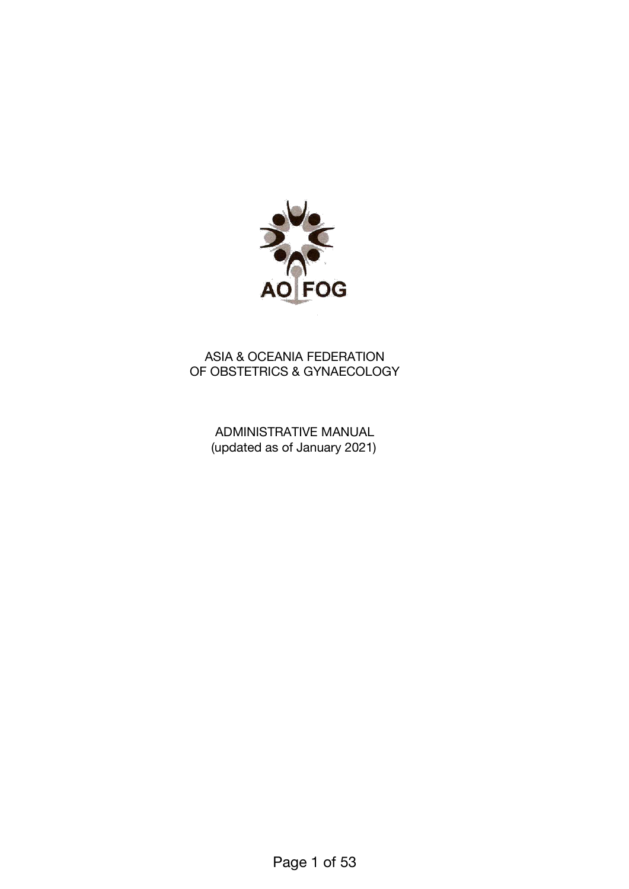

# ASIA & OCEANIA FEDERATION OF OBSTETRICS & GYNAECOLOGY

ADMINISTRATIVE MANUAL (updated as of January 2021)

Page 1 of 53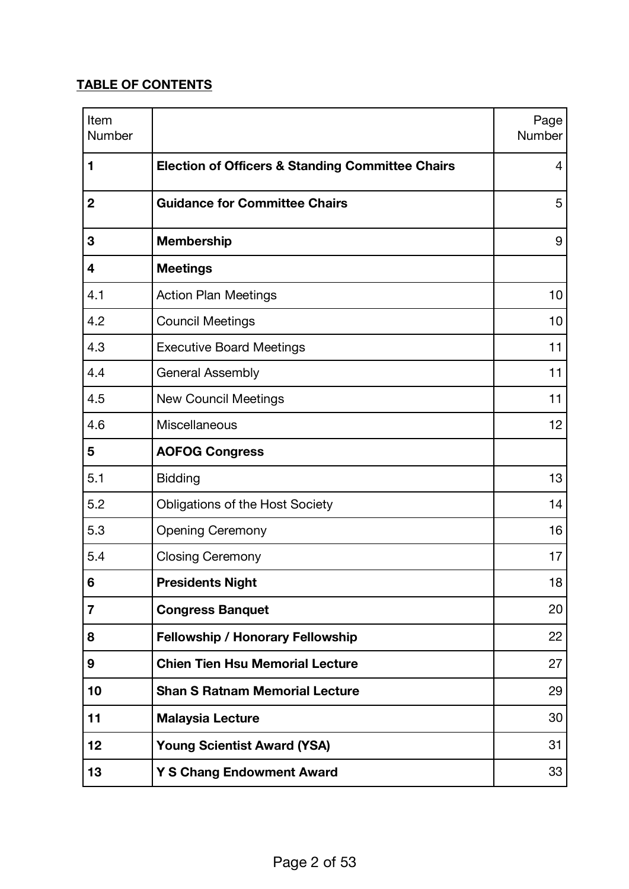# **TABLE OF CONTENTS**

| Item<br>Number |                                                             | Page<br>Number |
|----------------|-------------------------------------------------------------|----------------|
| 1              | <b>Election of Officers &amp; Standing Committee Chairs</b> | 4              |
| $\mathbf 2$    | <b>Guidance for Committee Chairs</b>                        | 5              |
| 3              | <b>Membership</b>                                           | 9              |
| 4              | <b>Meetings</b>                                             |                |
| 4.1            | <b>Action Plan Meetings</b>                                 | 10             |
| 4.2            | <b>Council Meetings</b>                                     | 10             |
| 4.3            | <b>Executive Board Meetings</b>                             | 11             |
| 4.4            | <b>General Assembly</b>                                     | 11             |
| 4.5            | <b>New Council Meetings</b>                                 | 11             |
| 4.6            | Miscellaneous                                               | 12             |
| 5              | <b>AOFOG Congress</b>                                       |                |
| 5.1            | <b>Bidding</b>                                              | 13             |
| 5.2            | <b>Obligations of the Host Society</b>                      | 14             |
| 5.3            | <b>Opening Ceremony</b>                                     | 16             |
| 5.4            | <b>Closing Ceremony</b>                                     | 17             |
| 6              | <b>Presidents Night</b>                                     | 18             |
| $\overline{7}$ | <b>Congress Banquet</b>                                     | 20             |
| 8              | <b>Fellowship / Honorary Fellowship</b>                     | 22             |
| 9              | <b>Chien Tien Hsu Memorial Lecture</b>                      | 27             |
| 10             | <b>Shan S Ratnam Memorial Lecture</b>                       | 29             |
| 11             | <b>Malaysia Lecture</b>                                     | 30             |
| 12             | <b>Young Scientist Award (YSA)</b>                          | 31             |
| 13             | <b>Y S Chang Endowment Award</b>                            | 33             |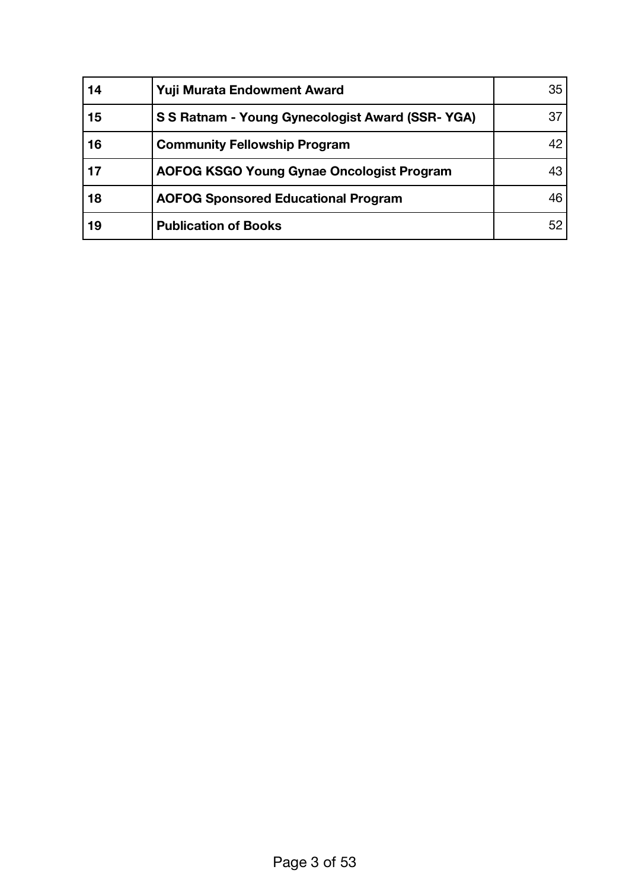| 14 | Yuji Murata Endowment Award                      | 35 |
|----|--------------------------------------------------|----|
| 15 | S S Ratnam - Young Gynecologist Award (SSR-YGA)  | 37 |
| 16 | <b>Community Fellowship Program</b>              | 42 |
| 17 | <b>AOFOG KSGO Young Gynae Oncologist Program</b> | 43 |
| 18 | <b>AOFOG Sponsored Educational Program</b>       | 46 |
| 19 | <b>Publication of Books</b>                      | 52 |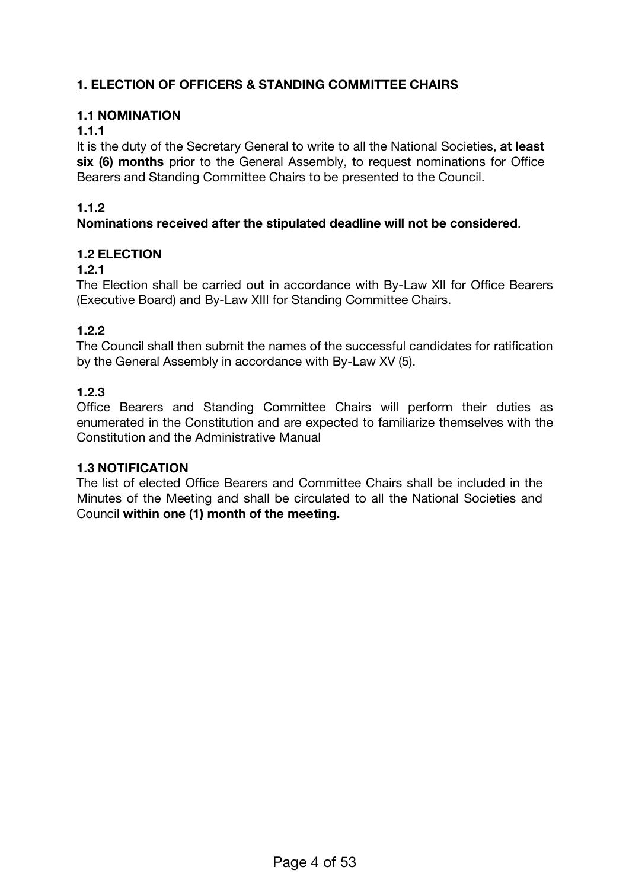# **1. ELECTION OF OFFICERS & STANDING COMMITTEE CHAIRS**

### **1.1 NOMINATION**

#### **1.1.1**

It is the duty of the Secretary General to write to all the National Societies, **at least six (6) months** prior to the General Assembly, to request nominations for Office Bearers and Standing Committee Chairs to be presented to the Council.

### **1.1.2**

#### **Nominations received after the stipulated deadline will not be considered**.

### **1.2 ELECTION**

#### **1.2.1**

The Election shall be carried out in accordance with By-Law XII for Office Bearers (Executive Board) and By-Law XIII for Standing Committee Chairs.

# **1.2.2**

The Council shall then submit the names of the successful candidates for ratification by the General Assembly in accordance with By-Law XV (5).

### **1.2.3**

Office Bearers and Standing Committee Chairs will perform their duties as enumerated in the Constitution and are expected to familiarize themselves with the Constitution and the Administrative Manual

#### **1.3 NOTIFICATION**

The list of elected Office Bearers and Committee Chairs shall be included in the Minutes of the Meeting and shall be circulated to all the National Societies and Council **within one (1) month of the meeting.**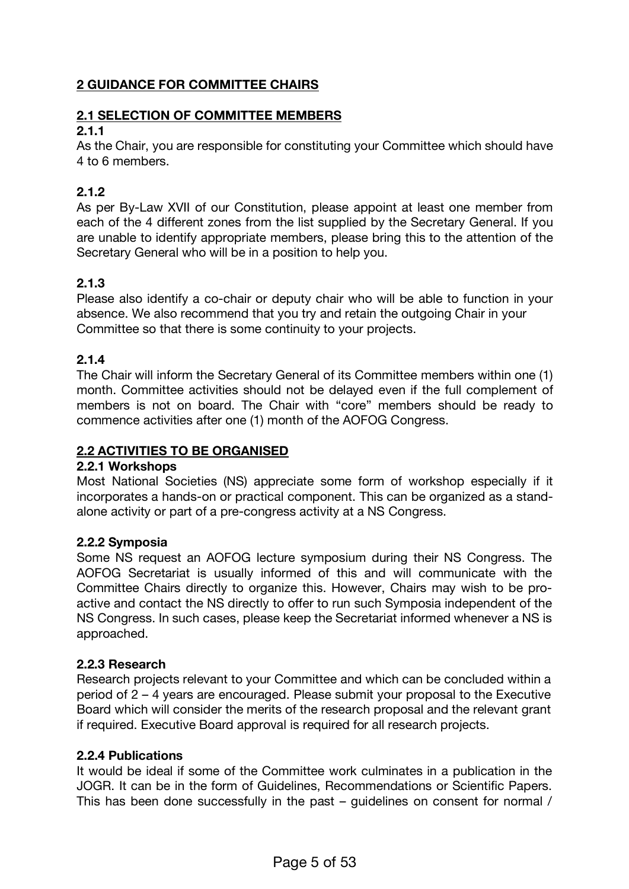# **2 GUIDANCE FOR COMMITTEE CHAIRS**

### **2.1 SELECTION OF COMMITTEE MEMBERS**

#### **2.1.1**

As the Chair, you are responsible for constituting your Committee which should have 4 to 6 members.

# **2.1.2**

As per By-Law XVII of our Constitution, please appoint at least one member from each of the 4 different zones from the list supplied by the Secretary General. If you are unable to identify appropriate members, please bring this to the attention of the Secretary General who will be in a position to help you.

# **2.1.3**

Please also identify a co-chair or deputy chair who will be able to function in your absence. We also recommend that you try and retain the outgoing Chair in your Committee so that there is some continuity to your projects.

# **2.1.4**

The Chair will inform the Secretary General of its Committee members within one (1) month. Committee activities should not be delayed even if the full complement of members is not on board. The Chair with "core" members should be ready to commence activities after one (1) month of the AOFOG Congress.

# **2.2 ACTIVITIES TO BE ORGANISED**

#### **2.2.1 Workshops**

Most National Societies (NS) appreciate some form of workshop especially if it incorporates a hands-on or practical component. This can be organized as a standalone activity or part of a pre-congress activity at a NS Congress.

#### **2.2.2 Symposia**

Some NS request an AOFOG lecture symposium during their NS Congress. The AOFOG Secretariat is usually informed of this and will communicate with the Committee Chairs directly to organize this. However, Chairs may wish to be proactive and contact the NS directly to offer to run such Symposia independent of the NS Congress. In such cases, please keep the Secretariat informed whenever a NS is approached.

#### **2.2.3 Research**

Research projects relevant to your Committee and which can be concluded within a period of 2 – 4 years are encouraged. Please submit your proposal to the Executive Board which will consider the merits of the research proposal and the relevant grant if required. Executive Board approval is required for all research projects.

#### **2.2.4 Publications**

It would be ideal if some of the Committee work culminates in a publication in the JOGR. It can be in the form of Guidelines, Recommendations or Scientific Papers. This has been done successfully in the past – guidelines on consent for normal /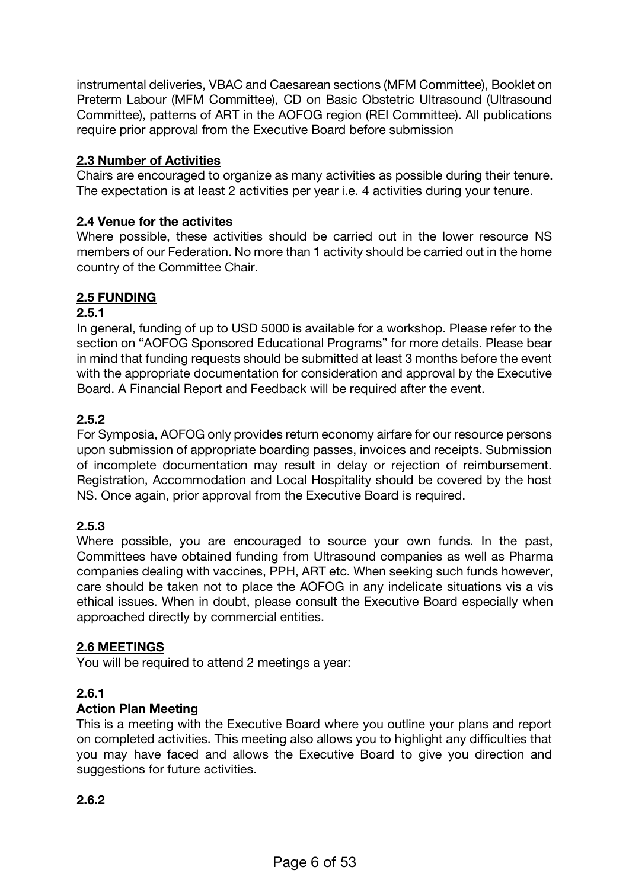instrumental deliveries, VBAC and Caesarean sections (MFM Committee), Booklet on Preterm Labour (MFM Committee), CD on Basic Obstetric Ultrasound (Ultrasound Committee), patterns of ART in the AOFOG region (REI Committee). All publications require prior approval from the Executive Board before submission

### **2.3 Number of Activities**

Chairs are encouraged to organize as many activities as possible during their tenure. The expectation is at least 2 activities per year i.e. 4 activities during your tenure.

#### **2.4 Venue for the activites**

Where possible, these activities should be carried out in the lower resource NS members of our Federation. No more than 1 activity should be carried out in the home country of the Committee Chair.

# **2.5 FUNDING**

### **2.5.1**

In general, funding of up to USD 5000 is available for a workshop. Please refer to the section on "AOFOG Sponsored Educational Programs" for more details. Please bear in mind that funding requests should be submitted at least 3 months before the event with the appropriate documentation for consideration and approval by the Executive Board. A Financial Report and Feedback will be required after the event.

### **2.5.2**

For Symposia, AOFOG only provides return economy airfare for our resource persons upon submission of appropriate boarding passes, invoices and receipts. Submission of incomplete documentation may result in delay or rejection of reimbursement. Registration, Accommodation and Local Hospitality should be covered by the host NS. Once again, prior approval from the Executive Board is required.

# **2.5.3**

Where possible, you are encouraged to source your own funds. In the past, Committees have obtained funding from Ultrasound companies as well as Pharma companies dealing with vaccines, PPH, ART etc. When seeking such funds however, care should be taken not to place the AOFOG in any indelicate situations vis a vis ethical issues. When in doubt, please consult the Executive Board especially when approached directly by commercial entities.

#### **2.6 MEETINGS**

You will be required to attend 2 meetings a year:

# **2.6.1**

#### **Action Plan Meeting**

This is a meeting with the Executive Board where you outline your plans and report on completed activities. This meeting also allows you to highlight any difficulties that you may have faced and allows the Executive Board to give you direction and suggestions for future activities.

# **2.6.2**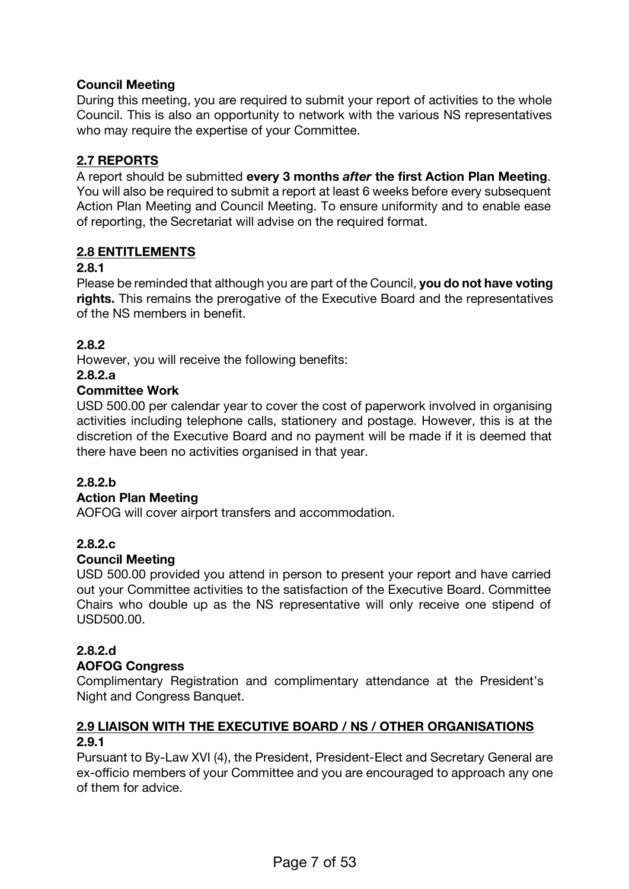# **Council Meeting**

During this meeting, you are required to submit your report of activities to the whole Council. This is also an opportunity to network with the various NS representatives who may require the expertise of your Committee.

# **2.7 REPORTS**

A report should be submitted **every 3 months** *after* **the first Action Plan Meeting**. You will also be required to submit a report at least 6 weeks before every subsequent Action Plan Meeting and Council Meeting. To ensure uniformity and to enable ease of reporting, the Secretariat will advise on the required format.

# **2.8 ENTITLEMENTS**

### **2.8.1**

Please be reminded that although you are part of the Council, **you do not have voting rights.** This remains the prerogative of the Executive Board and the representatives of the NS members in benefit.

# **2.8.2**

However, you will receive the following benefits:

#### **2.8.2.a**

### **Committee Work**

USD 500.00 per calendar year to cover the cost of paperwork involved in organising activities including telephone calls, stationery and postage. However, this is at the discretion of the Executive Board and no payment will be made if it is deemed that there have been no activities organised in that year.

# **2.8.2.b**

#### **Action Plan Meeting**

AOFOG will cover airport transfers and accommodation.

# **2.8.2.c**

#### **Council Meeting**

USD 500.00 provided you attend in person to present your report and have carried out your Committee activities to the satisfaction of the Executive Board. Committee Chairs who double up as the NS representative will only receive one stipend of USD500.00.

# **2.8.2.d**

#### **AOFOG Congress**

Complimentary Registration and complimentary attendance at the President's Night and Congress Banquet.

# **2.9 LIAISON WITH THE EXECUTIVE BOARD / NS / OTHER ORGANISATIONS 2.9.1**

Pursuant to By-Law XVI (4), the President, President-Elect and Secretary General are ex-officio members of your Committee and you are encouraged to approach any one of them for advice.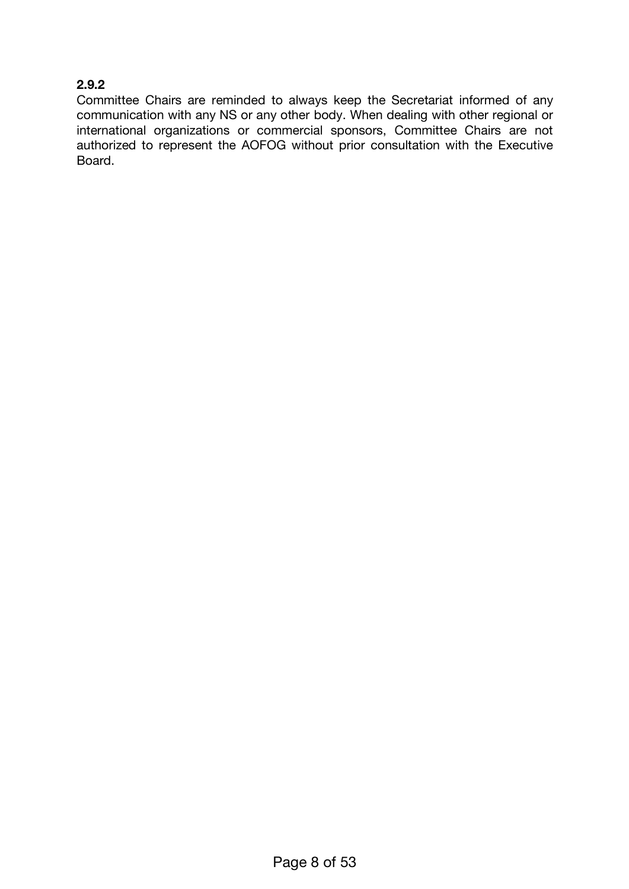# **2.9.2**

Committee Chairs are reminded to always keep the Secretariat informed of any communication with any NS or any other body. When dealing with other regional or international organizations or commercial sponsors, Committee Chairs are not authorized to represent the AOFOG without prior consultation with the Executive Board.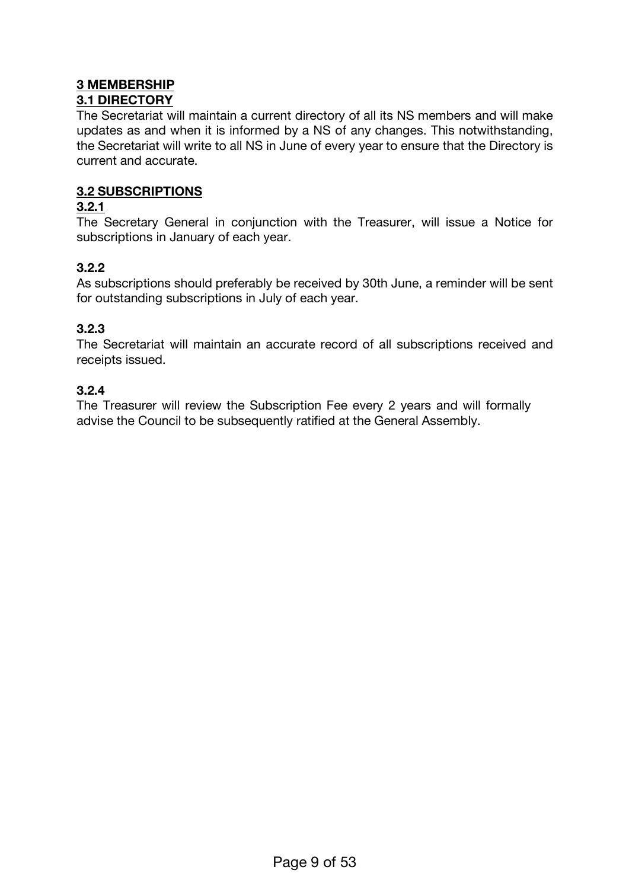# **3 MEMBERSHIP**

# **3.1 DIRECTORY**

The Secretariat will maintain a current directory of all its NS members and will make updates as and when it is informed by a NS of any changes. This notwithstanding, the Secretariat will write to all NS in June of every year to ensure that the Directory is current and accurate.

### **3.2 SUBSCRIPTIONS**

#### **3.2.1**

The Secretary General in conjunction with the Treasurer, will issue a Notice for subscriptions in January of each year.

### **3.2.2**

As subscriptions should preferably be received by 30th June, a reminder will be sent for outstanding subscriptions in July of each year.

### **3.2.3**

The Secretariat will maintain an accurate record of all subscriptions received and receipts issued.

#### **3.2.4**

The Treasurer will review the Subscription Fee every 2 years and will formally advise the Council to be subsequently ratified at the General Assembly.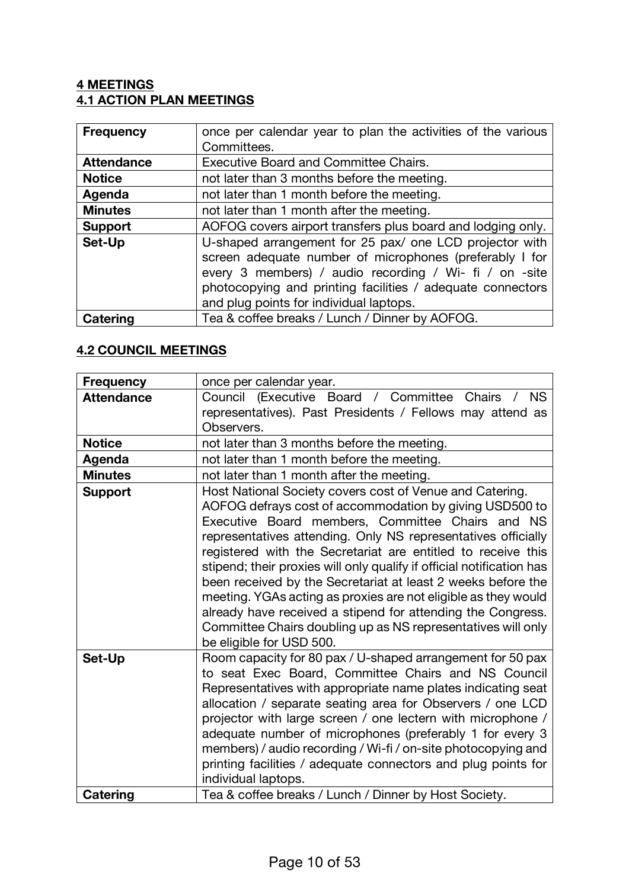# **4 MEETINGS 4.1 ACTION PLAN MEETINGS**

| <b>Frequency</b>  | once per calendar year to plan the activities of the various                                                                                                                                                                                                                          |  |
|-------------------|---------------------------------------------------------------------------------------------------------------------------------------------------------------------------------------------------------------------------------------------------------------------------------------|--|
|                   | Committees.                                                                                                                                                                                                                                                                           |  |
| <b>Attendance</b> | <b>Executive Board and Committee Chairs.</b>                                                                                                                                                                                                                                          |  |
| <b>Notice</b>     | not later than 3 months before the meeting.                                                                                                                                                                                                                                           |  |
| Agenda            | not later than 1 month before the meeting.                                                                                                                                                                                                                                            |  |
| <b>Minutes</b>    | not later than 1 month after the meeting.                                                                                                                                                                                                                                             |  |
| <b>Support</b>    | AOFOG covers airport transfers plus board and lodging only.                                                                                                                                                                                                                           |  |
| Set-Up            | U-shaped arrangement for 25 pax/ one LCD projector with<br>screen adequate number of microphones (preferably I for<br>every 3 members) / audio recording / Wi- fi / on -site<br>photocopying and printing facilities / adequate connectors<br>and plug points for individual laptops. |  |
| Catering          | Tea & coffee breaks / Lunch / Dinner by AOFOG.                                                                                                                                                                                                                                        |  |

# **4.2 COUNCIL MEETINGS**

| <b>Frequency</b>  | once per calendar year.                                                                                                                                                                                                                                                                                                                                                                                                                                                                                                                                                                                                                                                        |  |  |
|-------------------|--------------------------------------------------------------------------------------------------------------------------------------------------------------------------------------------------------------------------------------------------------------------------------------------------------------------------------------------------------------------------------------------------------------------------------------------------------------------------------------------------------------------------------------------------------------------------------------------------------------------------------------------------------------------------------|--|--|
| <b>Attendance</b> | Council (Executive Board / Committee<br><b>NS</b><br>Chairs                                                                                                                                                                                                                                                                                                                                                                                                                                                                                                                                                                                                                    |  |  |
|                   | representatives). Past Presidents / Fellows may attend as                                                                                                                                                                                                                                                                                                                                                                                                                                                                                                                                                                                                                      |  |  |
|                   | Observers.                                                                                                                                                                                                                                                                                                                                                                                                                                                                                                                                                                                                                                                                     |  |  |
| <b>Notice</b>     | not later than 3 months before the meeting.                                                                                                                                                                                                                                                                                                                                                                                                                                                                                                                                                                                                                                    |  |  |
| Agenda            | not later than 1 month before the meeting.                                                                                                                                                                                                                                                                                                                                                                                                                                                                                                                                                                                                                                     |  |  |
| <b>Minutes</b>    | not later than 1 month after the meeting.                                                                                                                                                                                                                                                                                                                                                                                                                                                                                                                                                                                                                                      |  |  |
| <b>Support</b>    | Host National Society covers cost of Venue and Catering.<br>AOFOG defrays cost of accommodation by giving USD500 to<br>Executive Board members, Committee Chairs and NS<br>representatives attending. Only NS representatives officially<br>registered with the Secretariat are entitled to receive this<br>stipend; their proxies will only qualify if official notification has<br>been received by the Secretariat at least 2 weeks before the<br>meeting. YGAs acting as proxies are not eligible as they would<br>already have received a stipend for attending the Congress.<br>Committee Chairs doubling up as NS representatives will only<br>be eligible for USD 500. |  |  |
| Set-Up            | Room capacity for 80 pax / U-shaped arrangement for 50 pax<br>to seat Exec Board, Committee Chairs and NS Council<br>Representatives with appropriate name plates indicating seat<br>allocation / separate seating area for Observers / one LCD<br>projector with large screen / one lectern with microphone /<br>adequate number of microphones (preferably 1 for every 3<br>members) / audio recording / Wi-fi / on-site photocopying and<br>printing facilities / adequate connectors and plug points for<br>individual laptops.                                                                                                                                            |  |  |
| Catering          | Tea & coffee breaks / Lunch / Dinner by Host Society.                                                                                                                                                                                                                                                                                                                                                                                                                                                                                                                                                                                                                          |  |  |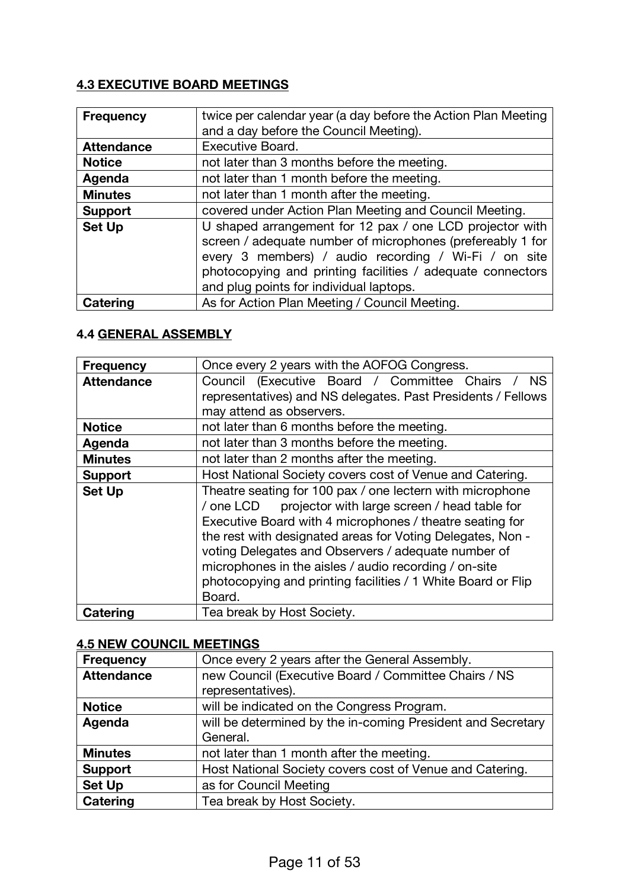# **4.3 EXECUTIVE BOARD MEETINGS**

| <b>Frequency</b>  | twice per calendar year (a day before the Action Plan Meeting                                                                                                                                                                                                                           |  |
|-------------------|-----------------------------------------------------------------------------------------------------------------------------------------------------------------------------------------------------------------------------------------------------------------------------------------|--|
|                   | and a day before the Council Meeting).                                                                                                                                                                                                                                                  |  |
| <b>Attendance</b> | <b>Executive Board.</b>                                                                                                                                                                                                                                                                 |  |
| <b>Notice</b>     | not later than 3 months before the meeting.                                                                                                                                                                                                                                             |  |
| Agenda            | not later than 1 month before the meeting.                                                                                                                                                                                                                                              |  |
| <b>Minutes</b>    | not later than 1 month after the meeting.                                                                                                                                                                                                                                               |  |
| <b>Support</b>    | covered under Action Plan Meeting and Council Meeting.                                                                                                                                                                                                                                  |  |
| <b>Set Up</b>     | U shaped arrangement for 12 pax / one LCD projector with<br>screen / adequate number of microphones (prefereably 1 for<br>every 3 members) / audio recording / Wi-Fi / on site<br>photocopying and printing facilities / adequate connectors<br>and plug points for individual laptops. |  |
| Catering          | As for Action Plan Meeting / Council Meeting.                                                                                                                                                                                                                                           |  |

# **4.4 GENERAL ASSEMBLY**

| <b>Frequency</b>  | Once every 2 years with the AOFOG Congress.                                                                                                                                                                                                                                                                                                                                                                                                |  |
|-------------------|--------------------------------------------------------------------------------------------------------------------------------------------------------------------------------------------------------------------------------------------------------------------------------------------------------------------------------------------------------------------------------------------------------------------------------------------|--|
| <b>Attendance</b> | Council (Executive Board / Committee Chairs<br><b>NS</b>                                                                                                                                                                                                                                                                                                                                                                                   |  |
|                   | representatives) and NS delegates. Past Presidents / Fellows                                                                                                                                                                                                                                                                                                                                                                               |  |
|                   | may attend as observers.                                                                                                                                                                                                                                                                                                                                                                                                                   |  |
| <b>Notice</b>     | not later than 6 months before the meeting.                                                                                                                                                                                                                                                                                                                                                                                                |  |
| Agenda            | not later than 3 months before the meeting.                                                                                                                                                                                                                                                                                                                                                                                                |  |
| <b>Minutes</b>    | not later than 2 months after the meeting.                                                                                                                                                                                                                                                                                                                                                                                                 |  |
| <b>Support</b>    | Host National Society covers cost of Venue and Catering.                                                                                                                                                                                                                                                                                                                                                                                   |  |
| <b>Set Up</b>     | Theatre seating for 100 pax / one lectern with microphone<br>projector with large screen / head table for<br>/ one LCD<br>Executive Board with 4 microphones / theatre seating for<br>the rest with designated areas for Voting Delegates, Non -<br>voting Delegates and Observers / adequate number of<br>microphones in the aisles / audio recording / on-site<br>photocopying and printing facilities / 1 White Board or Flip<br>Board. |  |
| Catering          | Tea break by Host Society.                                                                                                                                                                                                                                                                                                                                                                                                                 |  |

# **4.5 NEW COUNCIL MEETINGS**

| <b>Frequency</b>  | Once every 2 years after the General Assembly.              |  |
|-------------------|-------------------------------------------------------------|--|
| <b>Attendance</b> | new Council (Executive Board / Committee Chairs / NS        |  |
|                   | representatives).                                           |  |
| <b>Notice</b>     | will be indicated on the Congress Program.                  |  |
| Agenda            | will be determined by the in-coming President and Secretary |  |
|                   | General.                                                    |  |
| <b>Minutes</b>    | not later than 1 month after the meeting.                   |  |
| <b>Support</b>    | Host National Society covers cost of Venue and Catering.    |  |
| <b>Set Up</b>     | as for Council Meeting                                      |  |
| <b>Catering</b>   | Tea break by Host Society.                                  |  |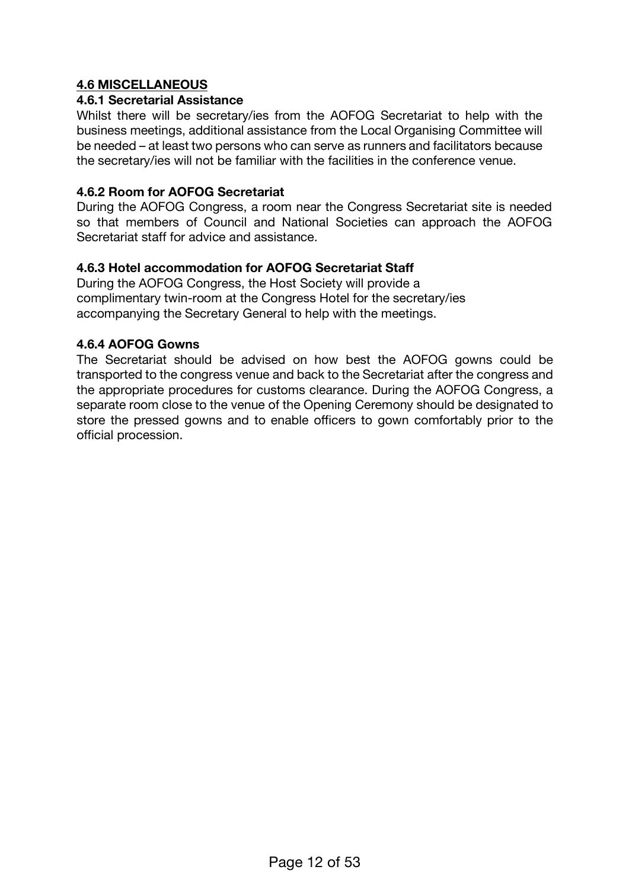### **4.6 MISCELLANEOUS**

#### **4.6.1 Secretarial Assistance**

Whilst there will be secretary/ies from the AOFOG Secretariat to help with the business meetings, additional assistance from the Local Organising Committee will be needed – at least two persons who can serve as runners and facilitators because the secretary/ies will not be familiar with the facilities in the conference venue.

#### **4.6.2 Room for AOFOG Secretariat**

During the AOFOG Congress, a room near the Congress Secretariat site is needed so that members of Council and National Societies can approach the AOFOG Secretariat staff for advice and assistance.

#### **4.6.3 Hotel accommodation for AOFOG Secretariat Staff**

During the AOFOG Congress, the Host Society will provide a complimentary twin-room at the Congress Hotel for the secretary/ies accompanying the Secretary General to help with the meetings.

#### **4.6.4 AOFOG Gowns**

The Secretariat should be advised on how best the AOFOG gowns could be transported to the congress venue and back to the Secretariat after the congress and the appropriate procedures for customs clearance. During the AOFOG Congress, a separate room close to the venue of the Opening Ceremony should be designated to store the pressed gowns and to enable officers to gown comfortably prior to the official procession.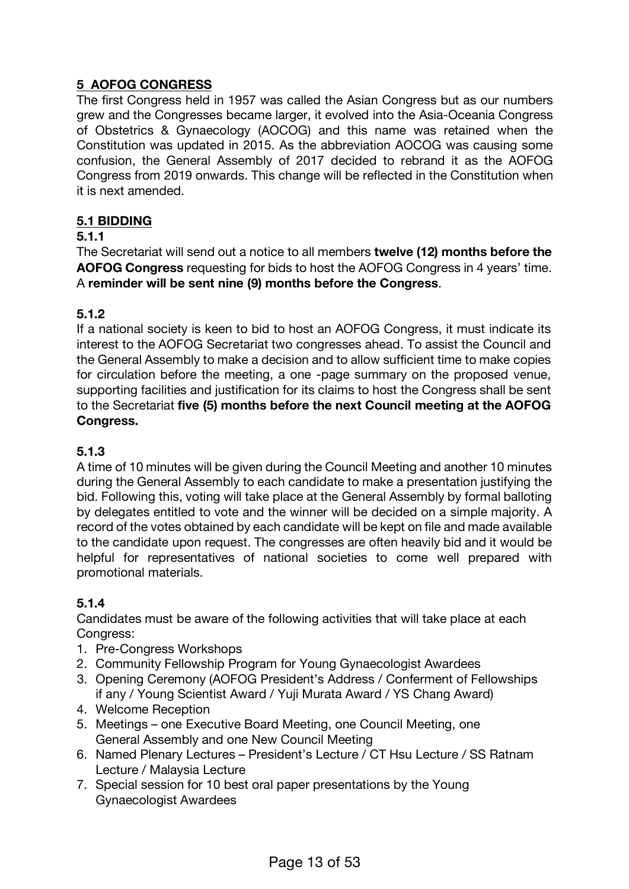# **5 AOFOG CONGRESS**

The first Congress held in 1957 was called the Asian Congress but as our numbers grew and the Congresses became larger, it evolved into the Asia-Oceania Congress of Obstetrics & Gynaecology (AOCOG) and this name was retained when the Constitution was updated in 2015. As the abbreviation AOCOG was causing some confusion, the General Assembly of 2017 decided to rebrand it as the AOFOG Congress from 2019 onwards. This change will be reflected in the Constitution when it is next amended.

### **5.1 BIDDING**

### **5.1.1**

The Secretariat will send out a notice to all members **twelve (12) months before the AOFOG Congress** requesting for bids to host the AOFOG Congress in 4 years' time. A **reminder will be sent nine (9) months before the Congress**.

#### **5.1.2**

If a national society is keen to bid to host an AOFOG Congress, it must indicate its interest to the AOFOG Secretariat two congresses ahead. To assist the Council and the General Assembly to make a decision and to allow sufficient time to make copies for circulation before the meeting, a one -page summary on the proposed venue, supporting facilities and justification for its claims to host the Congress shall be sent to the Secretariat **five (5) months before the next Council meeting at the AOFOG Congress.**

#### **5.1.3**

A time of 10 minutes will be given during the Council Meeting and another 10 minutes during the General Assembly to each candidate to make a presentation justifying the bid. Following this, voting will take place at the General Assembly by formal balloting by delegates entitled to vote and the winner will be decided on a simple majority. A record of the votes obtained by each candidate will be kept on file and made available to the candidate upon request. The congresses are often heavily bid and it would be helpful for representatives of national societies to come well prepared with promotional materials.

#### **5.1.4**

Candidates must be aware of the following activities that will take place at each Congress:

- 1. Pre-Congress Workshops
- 2. Community Fellowship Program for Young Gynaecologist Awardees
- 3. Opening Ceremony (AOFOG President's Address / Conferment of Fellowships if any / Young Scientist Award / Yuji Murata Award / YS Chang Award)
- 4. Welcome Reception
- 5. Meetings one Executive Board Meeting, one Council Meeting, one General Assembly and one New Council Meeting
- 6. Named Plenary Lectures President's Lecture / CT Hsu Lecture / SS Ratnam Lecture / Malaysia Lecture
- 7. Special session for 10 best oral paper presentations by the Young Gynaecologist Awardees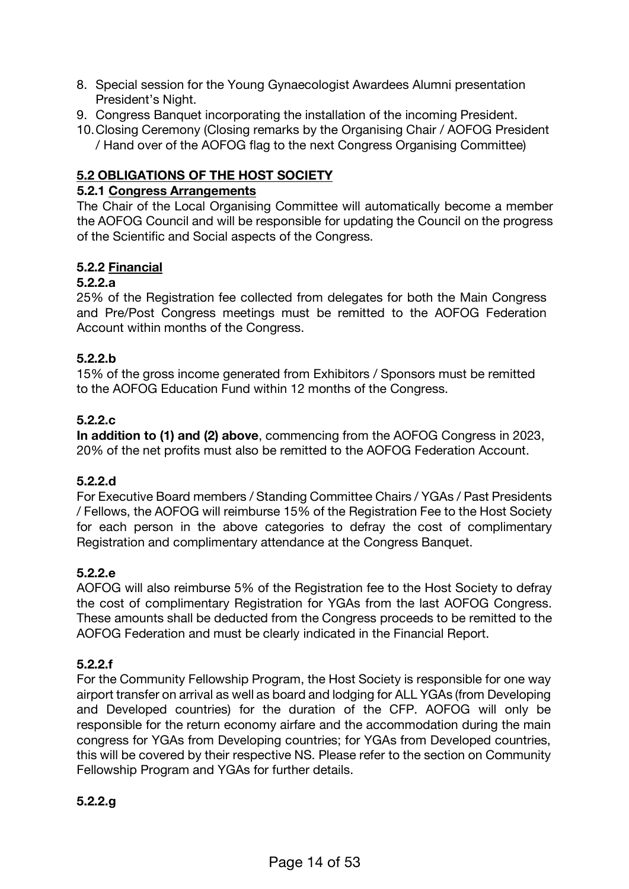- 8. Special session for the Young Gynaecologist Awardees Alumni presentation President's Night.
- 9. Congress Banquet incorporating the installation of the incoming President.
- 10.Closing Ceremony (Closing remarks by the Organising Chair / AOFOG President / Hand over of the AOFOG flag to the next Congress Organising Committee)

# **5.2 OBLIGATIONS OF THE HOST SOCIETY**

#### **5.2.1 Congress Arrangements**

The Chair of the Local Organising Committee will automatically become a member the AOFOG Council and will be responsible for updating the Council on the progress of the Scientific and Social aspects of the Congress.

### **5.2.2 Financial**

### **5.2.2.a**

25% of the Registration fee collected from delegates for both the Main Congress and Pre/Post Congress meetings must be remitted to the AOFOG Federation Account within months of the Congress.

### **5.2.2.b**

15% of the gross income generated from Exhibitors / Sponsors must be remitted to the AOFOG Education Fund within 12 months of the Congress.

### **5.2.2.c**

**In addition to (1) and (2) above**, commencing from the AOFOG Congress in 2023, 20% of the net profits must also be remitted to the AOFOG Federation Account.

#### **5.2.2.d**

For Executive Board members / Standing Committee Chairs / YGAs / Past Presidents / Fellows, the AOFOG will reimburse 15% of the Registration Fee to the Host Society for each person in the above categories to defray the cost of complimentary Registration and complimentary attendance at the Congress Banquet.

# **5.2.2.e**

AOFOG will also reimburse 5% of the Registration fee to the Host Society to defray the cost of complimentary Registration for YGAs from the last AOFOG Congress. These amounts shall be deducted from the Congress proceeds to be remitted to the AOFOG Federation and must be clearly indicated in the Financial Report.

# **5.2.2.f**

For the Community Fellowship Program, the Host Society is responsible for one way airport transfer on arrival as well as board and lodging for ALL YGAs (from Developing and Developed countries) for the duration of the CFP. AOFOG will only be responsible for the return economy airfare and the accommodation during the main congress for YGAs from Developing countries; for YGAs from Developed countries, this will be covered by their respective NS. Please refer to the section on Community Fellowship Program and YGAs for further details.

#### **5.2.2.g**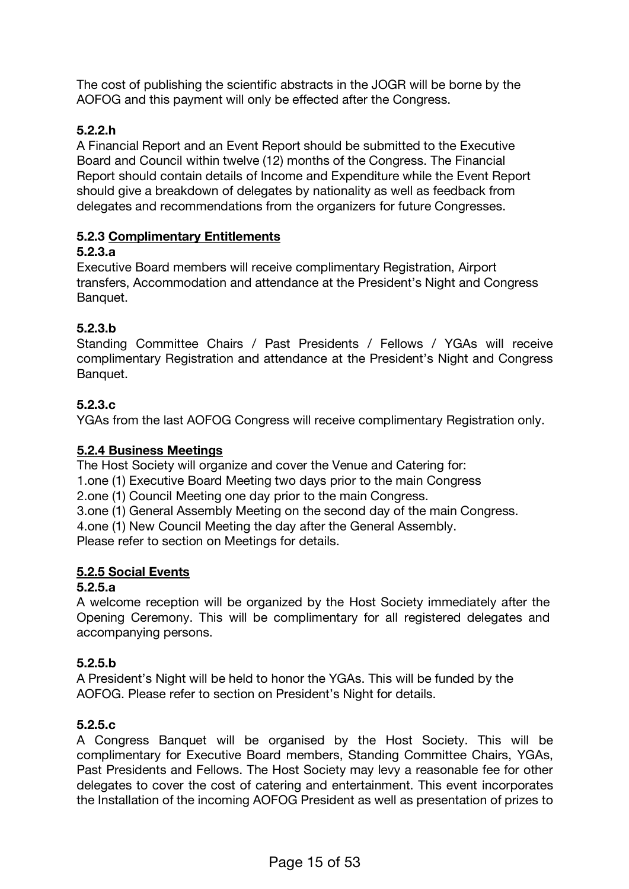The cost of publishing the scientific abstracts in the JOGR will be borne by the AOFOG and this payment will only be effected after the Congress.

# **5.2.2.h**

A Financial Report and an Event Report should be submitted to the Executive Board and Council within twelve (12) months of the Congress. The Financial Report should contain details of Income and Expenditure while the Event Report should give a breakdown of delegates by nationality as well as feedback from delegates and recommendations from the organizers for future Congresses.

# **5.2.3 Complimentary Entitlements**

### **5.2.3.a**

Executive Board members will receive complimentary Registration, Airport transfers, Accommodation and attendance at the President's Night and Congress Banquet.

# **5.2.3.b**

Standing Committee Chairs / Past Presidents / Fellows / YGAs will receive complimentary Registration and attendance at the President's Night and Congress Banquet.

# **5.2.3.c**

YGAs from the last AOFOG Congress will receive complimentary Registration only.

### **5.2.4 Business Meetings**

The Host Society will organize and cover the Venue and Catering for:

1.one (1) Executive Board Meeting two days prior to the main Congress

2.one (1) Council Meeting one day prior to the main Congress.

3.one (1) General Assembly Meeting on the second day of the main Congress.

4.one (1) New Council Meeting the day after the General Assembly.

Please refer to section on Meetings for details.

# **5.2.5 Social Events**

#### **5.2.5.a**

A welcome reception will be organized by the Host Society immediately after the Opening Ceremony. This will be complimentary for all registered delegates and accompanying persons.

# **5.2.5.b**

A President's Night will be held to honor the YGAs. This will be funded by the AOFOG. Please refer to section on President's Night for details.

# **5.2.5.c**

A Congress Banquet will be organised by the Host Society. This will be complimentary for Executive Board members, Standing Committee Chairs, YGAs, Past Presidents and Fellows. The Host Society may levy a reasonable fee for other delegates to cover the cost of catering and entertainment. This event incorporates the Installation of the incoming AOFOG President as well as presentation of prizes to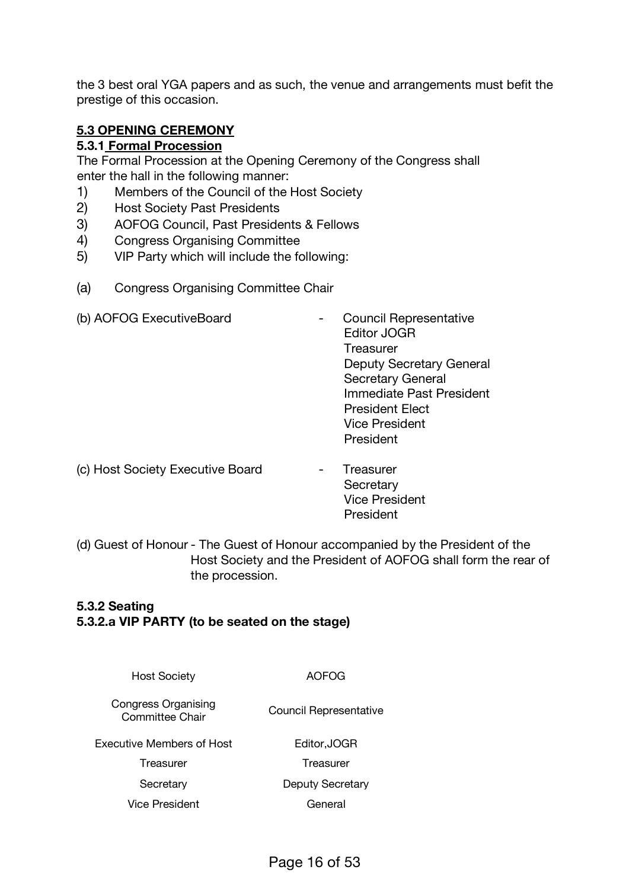the 3 best oral YGA papers and as such, the venue and arrangements must befit the prestige of this occasion.

### **5.3 OPENING CEREMONY**

#### **5.3.1 Formal Procession**

The Formal Procession at the Opening Ceremony of the Congress shall enter the hall in the following manner:

- 1) Members of the Council of the Host Society
- 2) Host Society Past Presidents
- 3) AOFOG Council, Past Presidents & Fellows
- 4) Congress Organising Committee
- 5) VIP Party which will include the following:
- (a) Congress Organising Committee Chair

| (b) AOFOG ExecutiveBoard              | <b>Council Representative</b><br><b>Editor JOGR</b><br>Treasurer<br>Deputy Secretary General<br><b>Secretary General</b><br>Immediate Past President |
|---------------------------------------|------------------------------------------------------------------------------------------------------------------------------------------------------|
|                                       | <b>President Elect</b><br><b>Vice President</b>                                                                                                      |
|                                       | President                                                                                                                                            |
| $(a)$ Uset Conjetul Euresittua Denual | T                                                                                                                                                    |

- (c) Host Society Executive Board Treasurer **Secretary** Vice President President
- (d) Guest of Honour The Guest of Honour accompanied by the President of the Host Society and the President of AOFOG shall form the rear of the procession.

# **5.3.2 Seating 5.3.2.a VIP PARTY (to be seated on the stage)**

Host Society AOFOG Congress Organising Committee Chair Council Representative Executive Members of Host Treasurer Editor,JOGR Treasurer Secretary Deputy Secretary Vice President General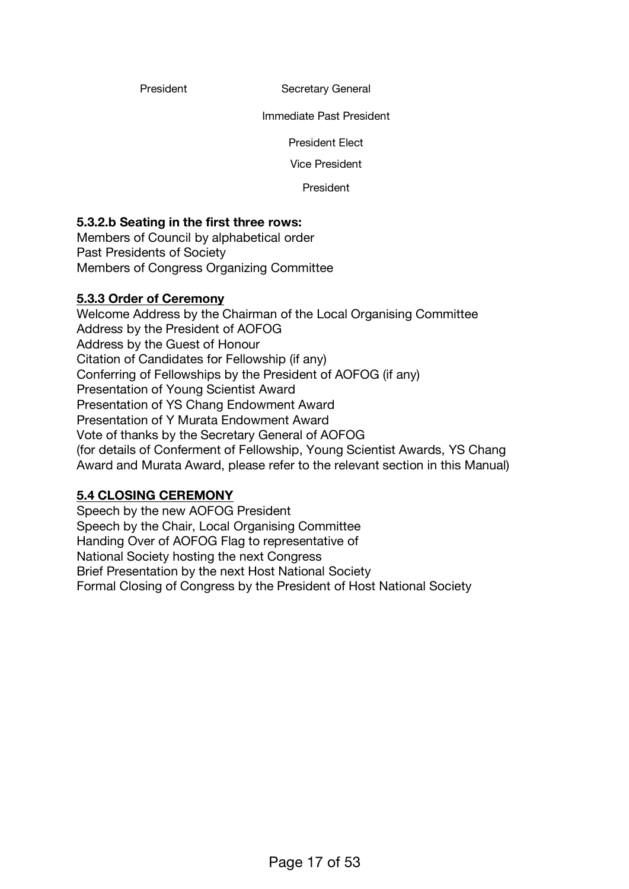President Secretary General

Immediate Past President

President Elect

Vice President

President

#### **5.3.2.b Seating in the first three rows:**

Members of Council by alphabetical order Past Presidents of Society Members of Congress Organizing Committee

#### **5.3.3 Order of Ceremony**

Welcome Address by the Chairman of the Local Organising Committee Addres*s* by the President of AOFOG Address by the Guest of Honour Citation of Candidates for Fellowship (if any) Conferring of Fellowships by the President of AOFOG (if any) Presentation of Young Scientist Award Presentation of YS Chang Endowment Award Presentation of Y Murata Endowment Award Vote of thanks by the Secretary General of AOFOG (for details of Conferment of Fellowship, Young Scientist Awards, YS Chang Award and Murata Award, please refer to the relevant section in this Manual)

#### **5.4 CLOSING CEREMONY**

Speech by the new AOFOG President Speech by the Chair, Local Organising Committee Handing Over of AOFOG Flag to representative of National Society hosting the next Congress Brief Presentation by the next Host National Society Formal Closing of Congress by the President of Host National Society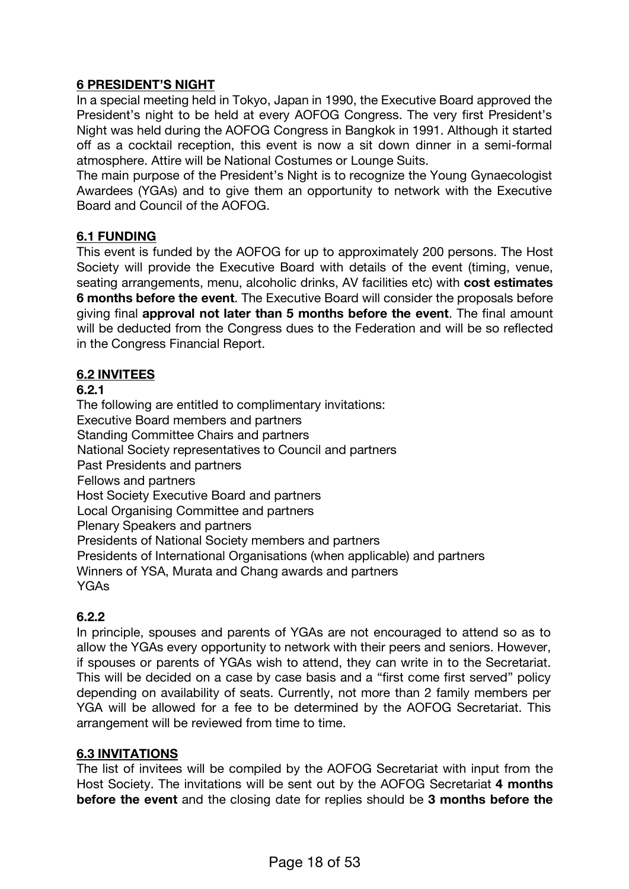# **6 PRESIDENT'S NIGHT**

In a special meeting held in Tokyo, Japan in 1990, the Executive Board approved the President's night to be held at every AOFOG Congress. The very first President's Night was held during the AOFOG Congress in Bangkok in 1991. Although it started off as a cocktail reception, this event is now a sit down dinner in a semi-formal atmosphere. Attire will be National Costumes or Lounge Suits.

The main purpose of the President's Night is to recognize the Young Gynaecologist Awardees (YGAs) and to give them an opportunity to network with the Executive Board and Council of the AOFOG.

### **6.1 FUNDING**

This event is funded by the AOFOG for up to approximately 200 persons. The Host Society will provide the Executive Board with details of the event (timing, venue, seating arrangements, menu, alcoholic drinks, AV facilities etc) with **cost estimates 6 months before the event**. The Executive Board will consider the proposals before giving final **approval not later than 5 months before the event**. The final amount will be deducted from the Congress dues to the Federation and will be so reflected in the Congress Financial Report.

# **6.2 INVITEES**

### **6.2.1**

The following are entitled to complimentary invitations: Executive Board members and partners Standing Committee Chairs and partners National Society representatives to Council and partners Past Presidents and partners Fellows and partners Host Society Executive Board and partners Local Organising Committee and partners Plenary Speakers and partners Presidents of National Society members and partners Presidents of International Organisations (when applicable) and partners Winners of YSA, Murata and Chang awards and partners YGAs

# **6.2.2**

In principle, spouses and parents of YGAs are not encouraged to attend so as to allow the YGAs every opportunity to network with their peers and seniors. However, if spouses or parents of YGAs wish to attend, they can write in to the Secretariat. This will be decided on a case by case basis and a "first come first served" policy depending on availability of seats. Currently, not more than 2 family members per YGA will be allowed for a fee to be determined by the AOFOG Secretariat. This arrangement will be reviewed from time to time.

#### **6.3 INVITATIONS**

The list of invitees will be compiled by the AOFOG Secretariat with input from the Host Society. The invitations will be sent out by the AOFOG Secretariat **4 months before the event** and the closing date for replies should be **3 months before the**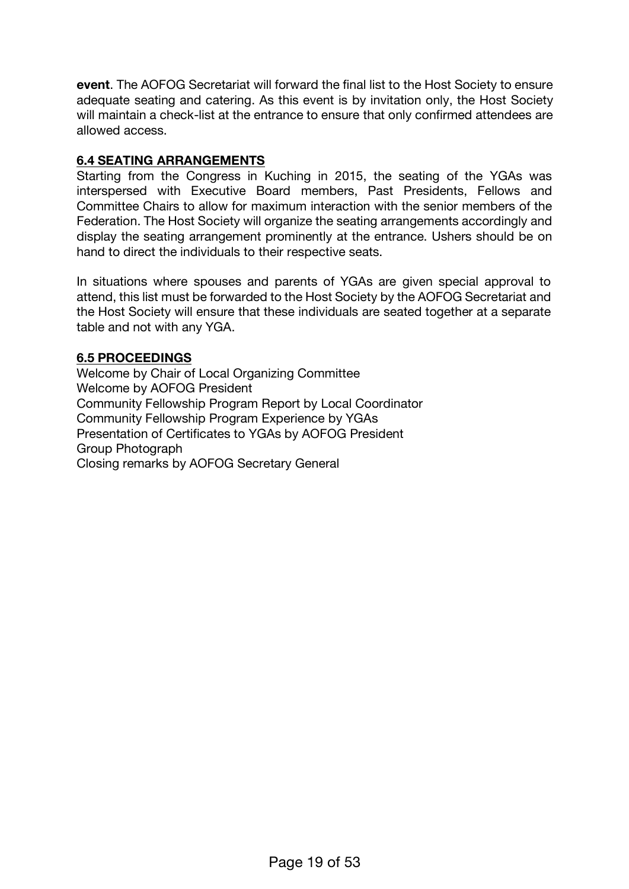**event**. The AOFOG Secretariat will forward the final list to the Host Society to ensure adequate seating and catering. As this event is by invitation only, the Host Society will maintain a check-list at the entrance to ensure that only confirmed attendees are allowed access.

# **6.4 SEATING ARRANGEMENTS**

Starting from the Congress in Kuching in 2015, the seating of the YGAs was interspersed with Executive Board members, Past Presidents, Fellows and Committee Chairs to allow for maximum interaction with the senior members of the Federation. The Host Society will organize the seating arrangements accordingly and display the seating arrangement prominently at the entrance. Ushers should be on hand to direct the individuals to their respective seats.

In situations where spouses and parents of YGAs are given special approval to attend, this list must be forwarded to the Host Society by the AOFOG Secretariat and the Host Society will ensure that these individuals are seated together at a separate table and not with any YGA.

#### **6.5 PROCEEDINGS**

Welcome by Chair of Local Organizing Committee Welcome by AOFOG President Community Fellowship Program Report by Local Coordinator Community Fellowship Program Experience by YGAs Presentation of Certificates to YGAs by AOFOG President Group Photograph Closing remarks by AOFOG Secretary General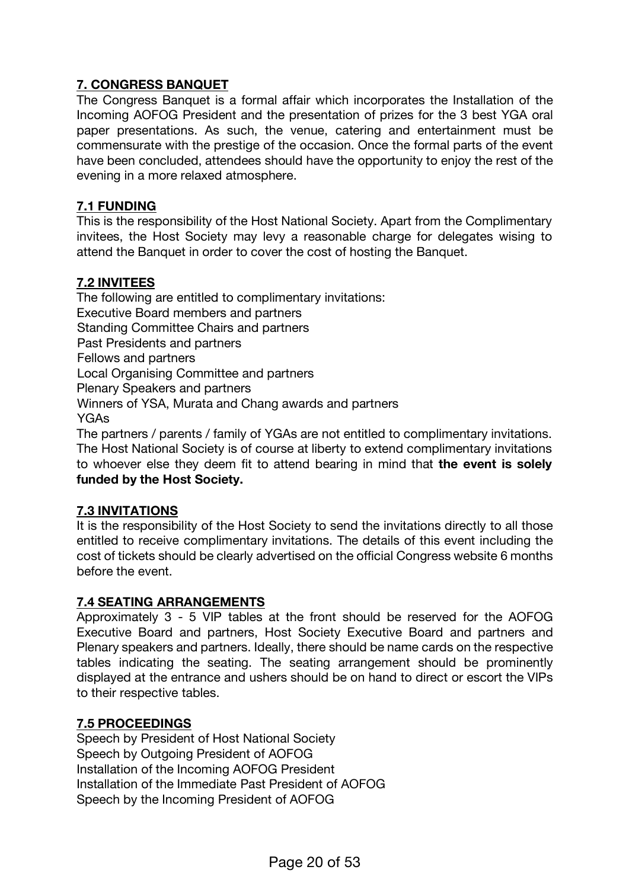# **7. CONGRESS BANQUET**

The Congress Banquet is a formal affair which incorporates the Installation of the Incoming AOFOG President and the presentation of prizes for the 3 best YGA oral paper presentations. As such, the venue, catering and entertainment must be commensurate with the prestige of the occasion. Once the formal parts of the event have been concluded, attendees should have the opportunity to enjoy the rest of the evening in a more relaxed atmosphere.

### **7.1 FUNDING**

This is the responsibility of the Host National Society. Apart from the Complimentary invitees, the Host Society may levy a reasonable charge for delegates wising to attend the Banquet in order to cover the cost of hosting the Banquet.

#### **7.2 INVITEES**

The following are entitled to complimentary invitations: Executive Board members and partners Standing Committee Chairs and partners Past Presidents and partners Fellows and partners Local Organising Committee and partners Plenary Speakers and partners Winners of YSA, Murata and Chang awards and partners YGAs The partners / parents / family of YGAs are not entitled to complimentary invitations.

The Host National Society is of course at liberty to extend complimentary invitations to whoever else they deem fit to attend bearing in mind that **the event is solely funded by the Host Society.**

# **7.3 INVITATIONS**

It is the responsibility of the Host Society to send the invitations directly to all those entitled to receive complimentary invitations. The details of this event including the cost of tickets should be clearly advertised on the official Congress website 6 months before the event.

# **7.4 SEATING ARRANGEMENTS**

Approximately 3 - 5 VIP tables at the front should be reserved for the AOFOG Executive Board and partners, Host Society Executive Board and partners and Plenary speakers and partners. Ideally, there should be name cards on the respective tables indicating the seating. The seating arrangement should be prominently displayed at the entrance and ushers should be on hand to direct or escort the VIPs to their respective tables.

#### **7.5 PROCEEDINGS**

Speech by President of Host National Society Speech by Outgoing President of AOFOG Installation of the Incoming AOFOG President Installation of the Immediate Past President of AOFOG Speech by the Incoming President of AOFOG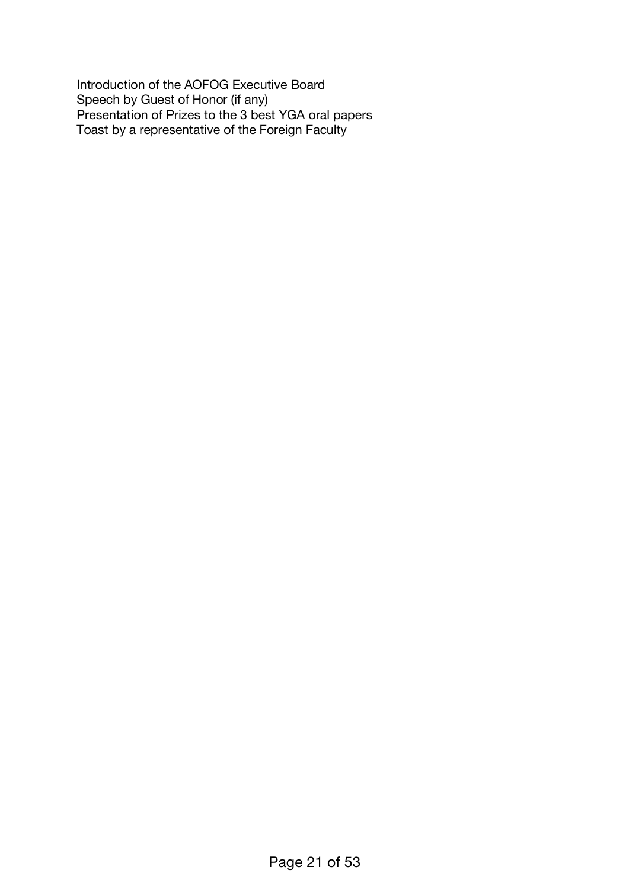Introduction of the AOFOG Executive Board Speech by Guest of Honor (if any) Presentation of Prizes to the 3 best YGA oral papers Toast by a representative of the Foreign Faculty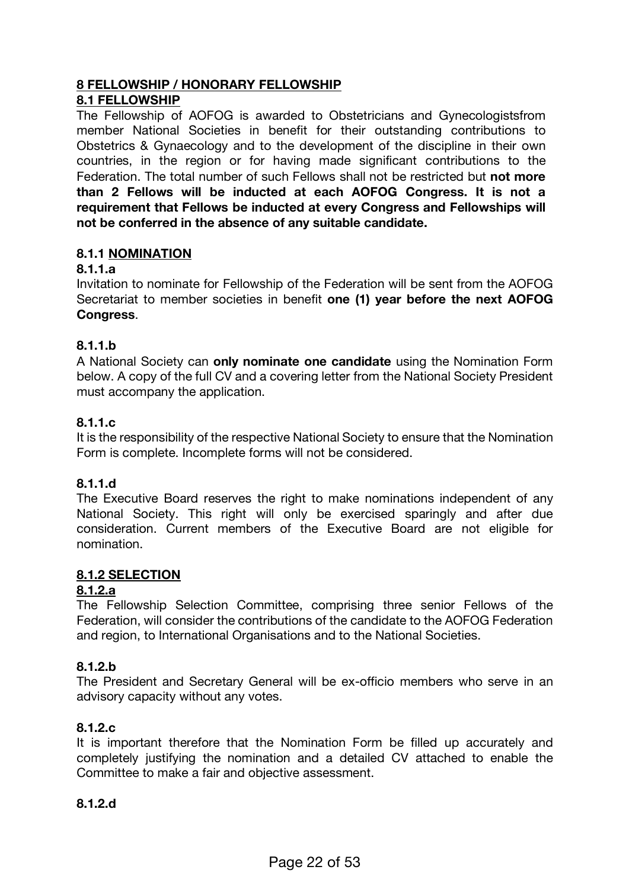# **8 FELLOWSHIP / HONORARY FELLOWSHIP**

#### **8.1 FELLOWSHIP**

The Fellowship of AOFOG is awarded to Obstetricians and Gynecologistsfrom member National Societies in benefit for their outstanding contributions to Obstetrics & Gynaecology and to the development of the discipline in their own countries, in the region or for having made significant contributions to the Federation. The total number of such Fellows shall not be restricted but **not more than 2 Fellows will be inducted at each AOFOG Congress. It is not a requirement that Fellows be inducted at every Congress and Fellowships will not be conferred in the absence of any suitable candidate.**

# **8.1.1 NOMINATION**

### **8.1.1.a**

Invitation to nominate for Fellowship of the Federation will be sent from the AOFOG Secretariat to member societies in benefit **one (1) year before the next AOFOG Congress**.

### **8.1.1.b**

A National Society can **only nominate one candidate** using the Nomination Form below. A copy of the full CV and a covering letter from the National Society President must accompany the application.

### **8.1.1.c**

It is the responsibility of the respective National Society to ensure that the Nomination Form is complete. Incomplete forms will not be considered.

# **8.1.1.d**

The Executive Board reserves the right to make nominations independent of any National Society. This right will only be exercised sparingly and after due consideration. Current members of the Executive Board are not eligible for nomination.

# **8.1.2 SELECTION**

#### **8.1.2.a**

The Fellowship Selection Committee, comprising three senior Fellows of the Federation, will consider the contributions of the candidate to the AOFOG Federation and region, to International Organisations and to the National Societies.

# **8.1.2.b**

The President and Secretary General will be ex-officio members who serve in an advisory capacity without any votes.

# **8.1.2.c**

It is important therefore that the Nomination Form be filled up accurately and completely justifying the nomination and a detailed CV attached to enable the Committee to make a fair and objective assessment.

#### **8.1.2.d**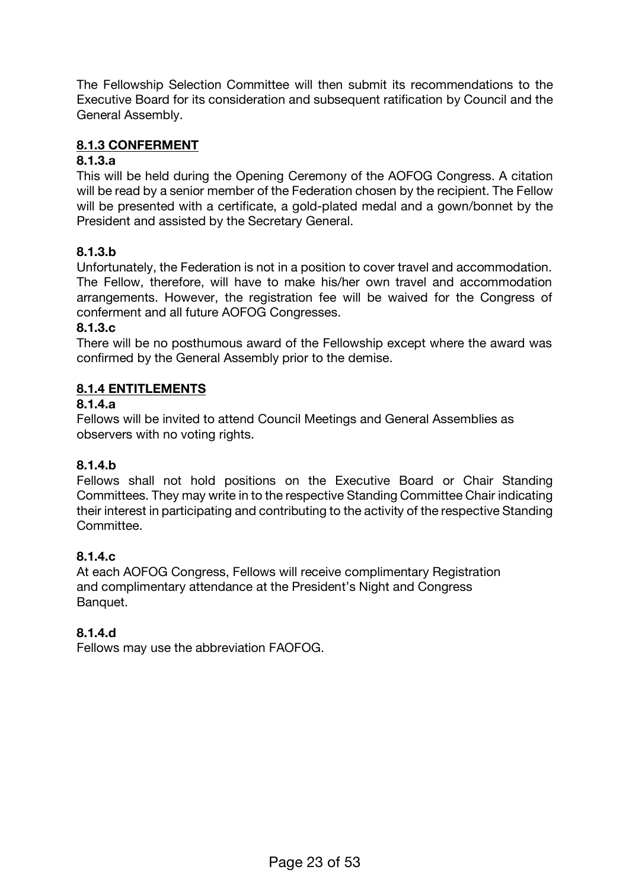The Fellowship Selection Committee will then submit its recommendations to the Executive Board for its consideration and subsequent ratification by Council and the General Assembly.

### **8.1.3 CONFERMENT**

#### **8.1.3.a**

This will be held during the Opening Ceremony of the AOFOG Congress. A citation will be read by a senior member of the Federation chosen by the recipient. The Fellow will be presented with a certificate, a gold-plated medal and a gown/bonnet by the President and assisted by the Secretary General.

# **8.1.3.b**

Unfortunately, the Federation is not in a position to cover travel and accommodation. The Fellow, therefore, will have to make his/her own travel and accommodation arrangements. However, the registration fee will be waived for the Congress of conferment and all future AOFOG Congresses.

### **8.1.3.c**

There will be no posthumous award of the Fellowship except where the award was confirmed by the General Assembly prior to the demise.

# **8.1.4 ENTITLEMENTS**

### **8.1.4.a**

Fellows will be invited to attend Council Meetings and General Assemblies as observers with no voting rights.

# **8.1.4.b**

Fellows shall not hold positions on the Executive Board or Chair Standing Committees. They may write in to the respective Standing Committee Chair indicating their interest in participating and contributing to the activity of the respective Standing Committee.

# **8.1.4.c**

At each AOFOG Congress, Fellows will receive complimentary Registration and complimentary attendance at the President's Night and Congress Banquet.

#### **8.1.4.d**

Fellows may use the abbreviation FAOFOG.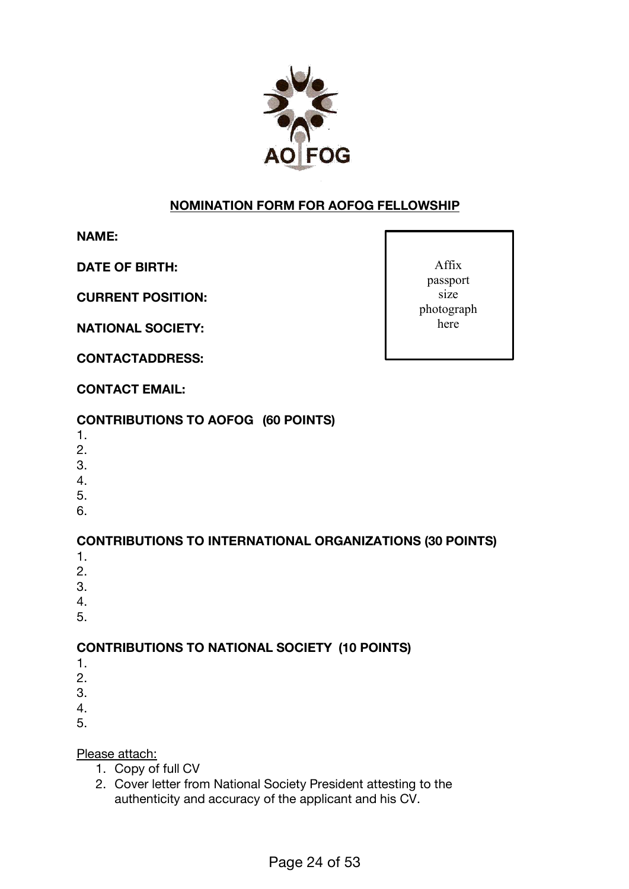

# **NOMINATION FORM FOR AOFOG FELLOWSHIP**

**NAME:**

**DATE OF BIRTH:**

**CURRENT POSITION:**

**NATIONAL SOCIETY:**

**CONTACTADDRESS:**

Affix passport size photograph here

# **CONTACT EMAIL:**

# **CONTRIBUTIONS TO AOFOG (60 POINTS)**

- 1.
- 2.
- 3.
- 4.
- 5.
- 6.

# **CONTRIBUTIONS TO INTERNATIONAL ORGANIZATIONS (30 POINTS)**

- 1.
- 2.
- 3.
- 4.
- 5.

# **CONTRIBUTIONS TO NATIONAL SOCIETY (10 POINTS)**

- 1.
- 2.
- 3.
- 4.
- 5.

Please attach:

- 1. Copy of full CV
- 2. Cover letter from National Society President attesting to the authenticity and accuracy of the applicant and his CV.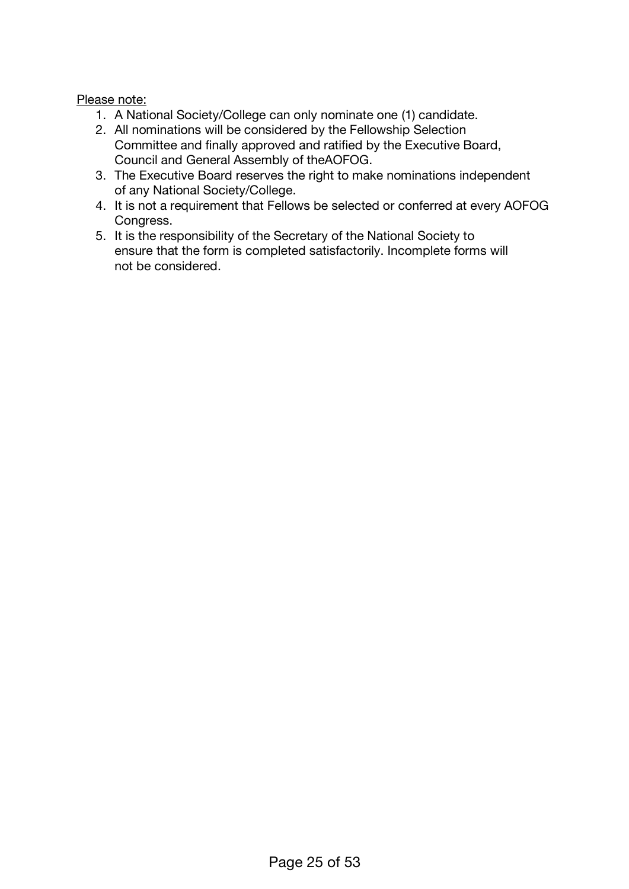### Please note:

- 1. A National Society/College can only nominate one (1) candidate.
- 2. All nominations will be considered by the Fellowship Selection Committee and finally approved and ratified by the Executive Board, Council and General Assembly of theAOFOG.
- 3. The Executive Board reserves the right to make nominations independent of any National Society/College.
- 4. It is not a requirement that Fellows be selected or conferred at every AOFOG Congress.
- 5. It is the responsibility of the Secretary of the National Society to ensure that the form is completed satisfactorily. Incomplete forms will not be considered.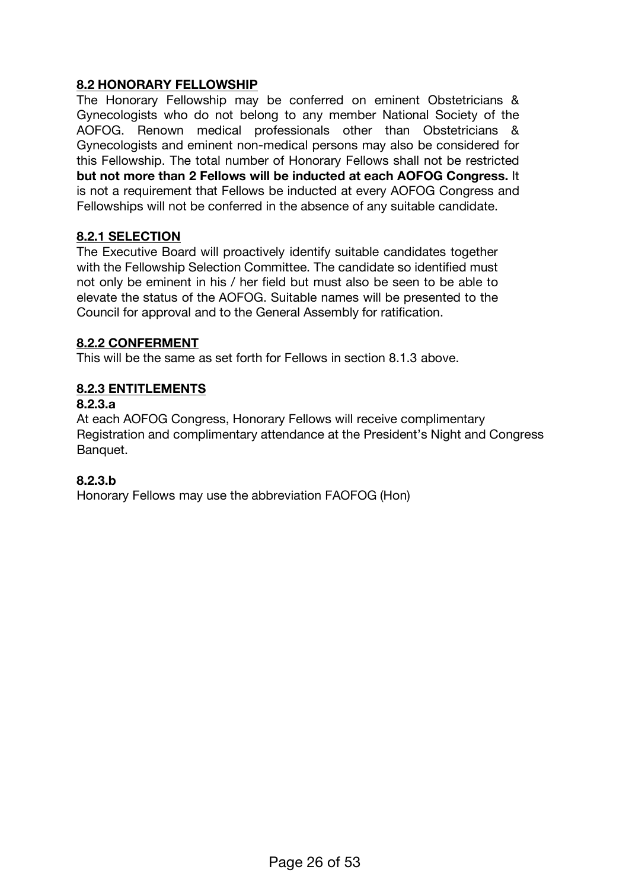### **8.2 HONORARY FELLOWSHIP**

The Honorary Fellowship may be conferred on eminent Obstetricians & Gynecologists who do not belong to any member National Society of the AOFOG. Renown medical professionals other than Obstetricians & Gynecologists and eminent non-medical persons may also be considered for this Fellowship. The total number of Honorary Fellows shall not be restricted **but not more than 2 Fellows will be inducted at each AOFOG Congress.** It is not a requirement that Fellows be inducted at every AOFOG Congress and Fellowships will not be conferred in the absence of any suitable candidate.

#### **8.2.1 SELECTION**

The Executive Board will proactively identify suitable candidates together with the Fellowship Selection Committee. The candidate so identified must not only be eminent in his / her field but must also be seen to be able to elevate the status of the AOFOG. Suitable names will be presented to the Council for approval and to the General Assembly for ratification.

#### **8.2.2 CONFERMENT**

This will be the same as set forth for Fellows in section 8.1.3 above.

# **8.2.3 ENTITLEMENTS**

#### **8.2.3.a**

At each AOFOG Congress, Honorary Fellows will receive complimentary Registration and complimentary attendance at the President's Night and Congress Banquet.

#### **8.2.3.b**

Honorary Fellows may use the abbreviation FAOFOG (Hon)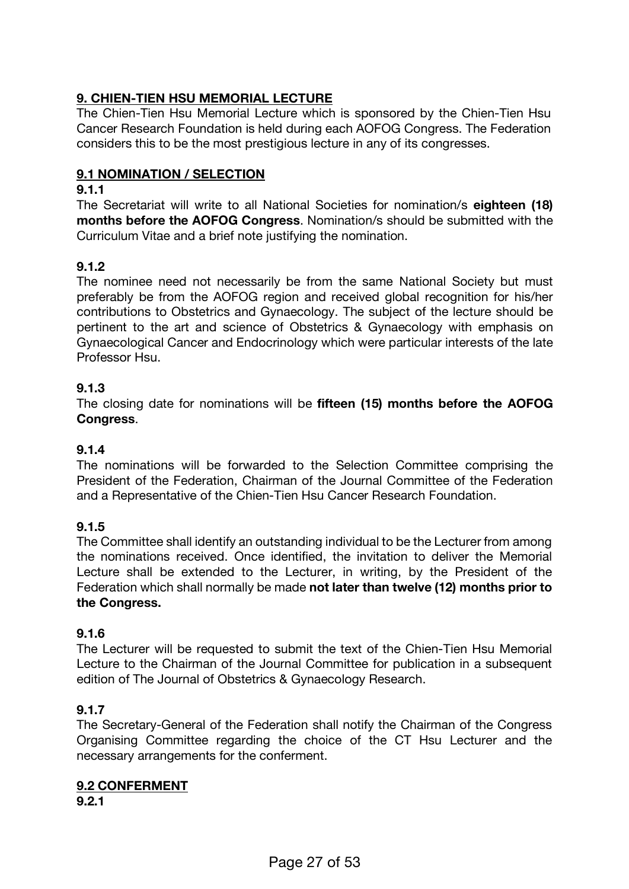# **9. CHIEN-TIEN HSU MEMORIAL LECTURE**

The Chien-Tien Hsu Memorial Lecture which is sponsored by the Chien-Tien Hsu Cancer Research Foundation is held during each AOFOG Congress. The Federation considers this to be the most prestigious lecture in any of its congresses.

### **9.1 NOMINATION / SELECTION**

### **9.1.1**

The Secretariat will write to all National Societies for nomination/s **eighteen (18) months before the AOFOG Congress**. Nomination/s should be submitted with the Curriculum Vitae and a brief note justifying the nomination.

# **9.1.2**

The nominee need not necessarily be from the same National Society but must preferably be from the AOFOG region and received global recognition for his/her contributions to Obstetrics and Gynaecology. The subject of the lecture should be pertinent to the art and science of Obstetrics & Gynaecology with emphasis on Gynaecological Cancer and Endocrinology which were particular interests of the late Professor Hsu.

### **9.1.3**

The closing date for nominations will be **fifteen (15) months before the AOFOG Congress**.

#### **9.1.4**

The nominations will be forwarded to the Selection Committee comprising the President of the Federation, Chairman of the Journal Committee of the Federation and a Representative of the Chien-Tien Hsu Cancer Research Foundation.

#### **9.1.5**

The Committee shall identify an outstanding individual to be the Lecturer from among the nominations received. Once identified, the invitation to deliver the Memorial Lecture shall be extended to the Lecturer, in writing, by the President of the Federation which shall normally be made **not later than twelve (12) months prior to the Congress.**

#### **9.1.6**

The Lecturer will be requested to submit the text of the Chien-Tien Hsu Memorial Lecture to the Chairman of the Journal Committee for publication in a subsequent edition of The Journal of Obstetrics & Gynaecology Research.

#### **9.1.7**

The Secretary-General of the Federation shall notify the Chairman of the Congress Organising Committee regarding the choice of the CT Hsu Lecturer and the necessary arrangements for the conferment.

# **9.2 CONFERMENT**

**9.2.1**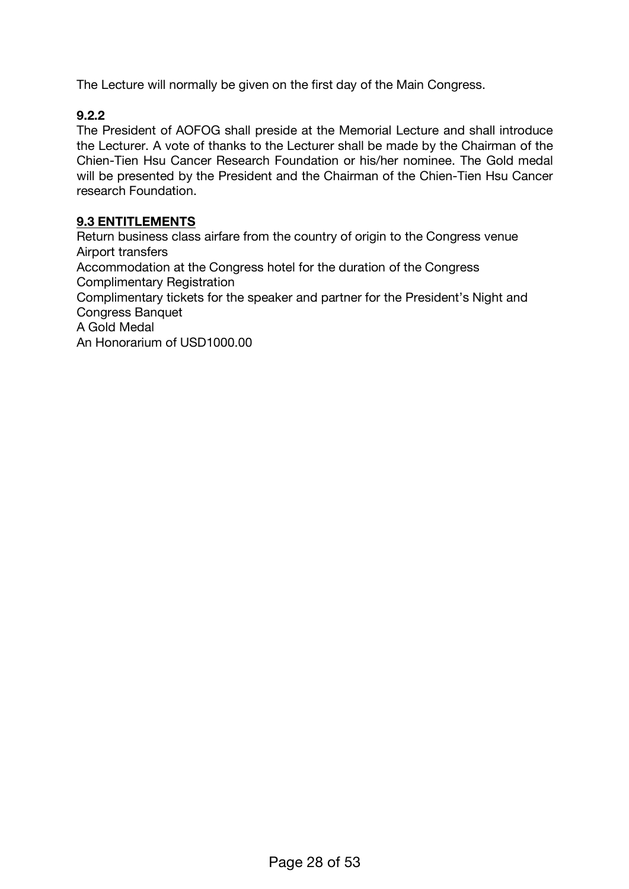The Lecture will normally be given on the first day of the Main Congress.

# **9.2.2**

The President of AOFOG shall preside at the Memorial Lecture and shall introduce the Lecturer. A vote of thanks to the Lecturer shall be made by the Chairman of the Chien-Tien Hsu Cancer Research Foundation or his/her nominee. The Gold medal will be presented by the President and the Chairman of the Chien-Tien Hsu Cancer research Foundation.

### **9.3 ENTITLEMENTS**

Return business class airfare from the country of origin to the Congress venue Airport transfers Accommodation at the Congress hotel for the duration of the Congress Complimentary Registration Complimentary tickets for the speaker and partner for the President's Night and Congress Banquet A Gold Medal An Honorarium of USD1000.00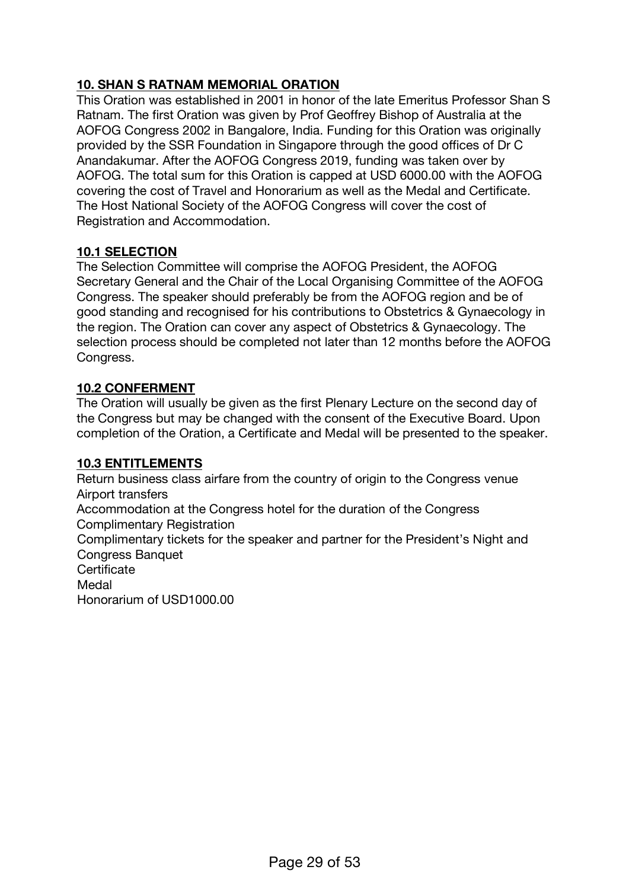# **10. SHAN S RATNAM MEMORIAL ORATION**

This Oration was established in 2001 in honor of the late Emeritus Professor Shan S Ratnam. The first Oration was given by Prof Geoffrey Bishop of Australia at the AOFOG Congress 2002 in Bangalore, India. Funding for this Oration was originally provided by the SSR Foundation in Singapore through the good offices of Dr C Anandakumar. After the AOFOG Congress 2019, funding was taken over by AOFOG. The total sum for this Oration is capped at USD 6000.00 with the AOFOG covering the cost of Travel and Honorarium as well as the Medal and Certificate. The Host National Society of the AOFOG Congress will cover the cost of Registration and Accommodation.

# **10.1 SELECTION**

The Selection Committee will comprise the AOFOG President, the AOFOG Secretary General and the Chair of the Local Organising Committee of the AOFOG Congress. The speaker should preferably be from the AOFOG region and be of good standing and recognised for his contributions to Obstetrics & Gynaecology in the region. The Oration can cover any aspect of Obstetrics & Gynaecology. The selection process should be completed not later than 12 months before the AOFOG Congress.

### **10.2 CONFERMENT**

The Oration will usually be given as the first Plenary Lecture on the second day of the Congress but may be changed with the consent of the Executive Board. Upon completion of the Oration, a Certificate and Medal will be presented to the speaker.

#### **10.3 ENTITLEMENTS**

Return business class airfare from the country of origin to the Congress venue Airport transfers Accommodation at the Congress hotel for the duration of the Congress Complimentary Registration Complimentary tickets for the speaker and partner for the President's Night and Congress Banquet **Certificate** Medal Honorarium of USD1000.00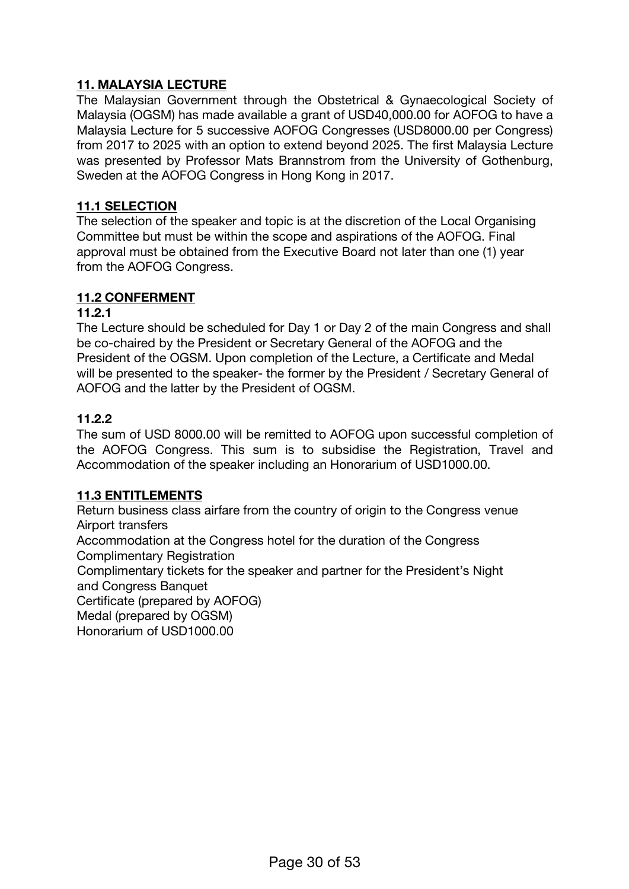# **11. MALAYSIA LECTURE**

The Malaysian Government through the Obstetrical & Gynaecological Society of Malaysia (OGSM) has made available a grant of USD40,000.00 for AOFOG to have a Malaysia Lecture for 5 successive AOFOG Congresses (USD8000.00 per Congress) from 2017 to 2025 with an option to extend beyond 2025. The first Malaysia Lecture was presented by Professor Mats Brannstrom from the University of Gothenburg, Sweden at the AOFOG Congress in Hong Kong in 2017.

#### **11.1 SELECTION**

The selection of the speaker and topic is at the discretion of the Local Organising Committee but must be within the scope and aspirations of the AOFOG. Final approval must be obtained from the Executive Board not later than one (1) year from the AOFOG Congress.

#### **11.2 CONFERMENT**

#### **11.2.1**

The Lecture should be scheduled for Day 1 or Day 2 of the main Congress and shall be co-chaired by the President or Secretary General of the AOFOG and the President of the OGSM. Upon completion of the Lecture, a Certificate and Medal will be presented to the speaker- the former by the President / Secretary General of AOFOG and the latter by the President of OGSM.

#### **11.2.2**

The sum of USD 8000.00 will be remitted to AOFOG upon successful completion of the AOFOG Congress. This sum is to subsidise the Registration, Travel and Accommodation of the speaker including an Honorarium of USD1000.00.

#### **11.3 ENTITLEMENTS**

Return business class airfare from the country of origin to the Congress venue Airport transfers

Accommodation at the Congress hotel for the duration of the Congress Complimentary Registration

Complimentary tickets for the speaker and partner for the President's Night and Congress Banquet

Certificate (prepared by AOFOG)

Medal (prepared by OGSM)

Honorarium of USD1000.00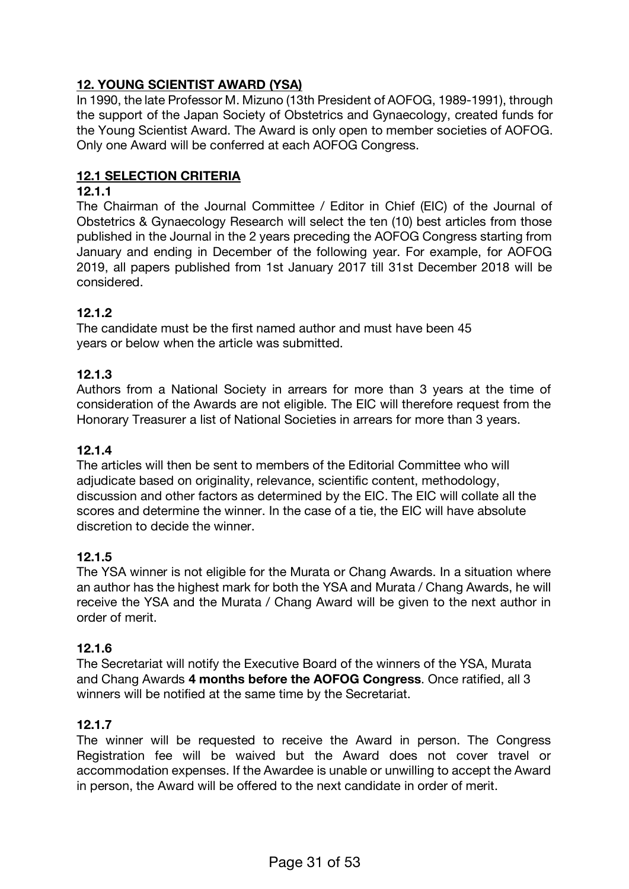# **12. YOUNG SCIENTIST AWARD (YSA)**

In 1990, the late Professor M. Mizuno (13th President of AOFOG, 1989-1991), through the support of the Japan Society of Obstetrics and Gynaecology, created funds for the Young Scientist Award. The Award is only open to member societies of AOFOG. Only one Award will be conferred at each AOFOG Congress.

### **12.1 SELECTION CRITERIA**

#### **12.1.1**

The Chairman of the Journal Committee / Editor in Chief (EIC) of the Journal of Obstetrics & Gynaecology Research will select the ten (10) best articles from those published in the Journal in the 2 years preceding the AOFOG Congress starting from January and ending in December of the following year. For example, for AOFOG 2019, all papers published from 1st January 2017 till 31st December 2018 will be considered.

### **12.1.2**

The candidate must be the first named author and must have been 45 years or below when the article was submitted.

### **12.1.3**

Authors from a National Society in arrears for more than 3 years at the time of consideration of the Awards are not eligible. The EIC will therefore request from the Honorary Treasurer a list of National Societies in arrears for more than 3 years.

#### **12.1.4**

The articles will then be sent to members of the Editorial Committee who will adjudicate based on originality, relevance, scientific content, methodology, discussion and other factors as determined by the EIC. The EIC will collate all the scores and determine the winner. In the case of a tie, the EIC will have absolute discretion to decide the winner.

#### **12.1.5**

The YSA winner is not eligible for the Murata or Chang Awards. In a situation where an author has the highest mark for both the YSA and Murata / Chang Awards, he will receive the YSA and the Murata / Chang Award will be given to the next author in order of merit.

#### **12.1.6**

The Secretariat will notify the Executive Board of the winners of the YSA, Murata and Chang Awards **4 months before the AOFOG Congress**. Once ratified, all 3 winners will be notified at the same time by the Secretariat.

#### **12.1.7**

The winner will be requested to receive the Award in person. The Congress Registration fee will be waived but the Award does not cover travel or accommodation expenses. If the Awardee is unable or unwilling to accept the Award in person, the Award will be offered to the next candidate in order of merit.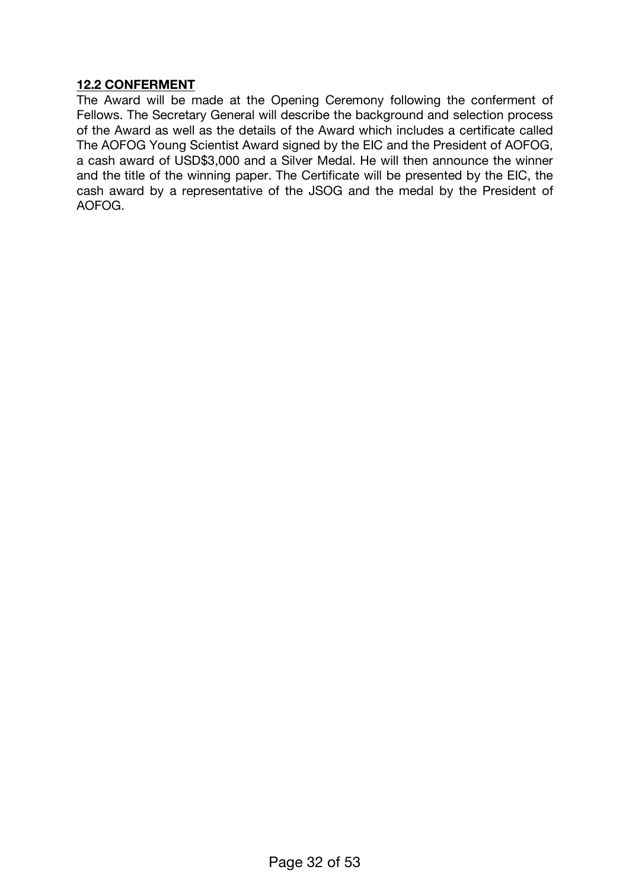#### **12.2 CONFERMENT**

The Award will be made at the Opening Ceremony following the conferment of Fellows. The Secretary General will describe the background and selection process of the Award as well as the details of the Award which includes a certificate called The AOFOG Young Scientist Award signed by the EIC and the President of AOFOG, a cash award of USD\$3,000 and a Silver Medal. He will then announce the winner and the title of the winning paper. The Certificate will be presented by the EIC, the cash award by a representative of the JSOG and the medal by the President of AOFOG.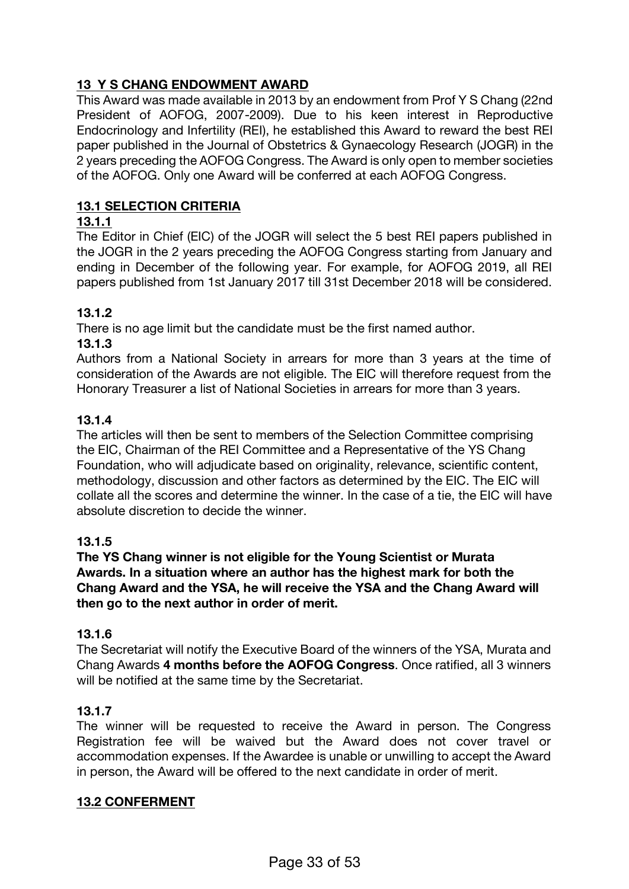# **13 Y S CHANG ENDOWMENT AWARD**

This Award was made available in 2013 by an endowment from Prof Y S Chang (22nd President of AOFOG, 2007-2009). Due to his keen interest in Reproductive Endocrinology and Infertility (REI), he established this Award to reward the best REI paper published in the Journal of Obstetrics & Gynaecology Research (JOGR) in the 2 years preceding the AOFOG Congress. The Award is only open to member societies of the AOFOG. Only one Award will be conferred at each AOFOG Congress.

# **13.1 SELECTION CRITERIA**

# **13.1.1**

The Editor in Chief (EIC) of the JOGR will select the 5 best REI papers published in the JOGR in the 2 years preceding the AOFOG Congress starting from January and ending in December of the following year. For example, for AOFOG 2019, all REI papers published from 1st January 2017 till 31st December 2018 will be considered.

# **13.1.2**

There is no age limit but the candidate must be the first named author.

### **13.1.3**

Authors from a National Society in arrears for more than 3 years at the time of consideration of the Awards are not eligible. The EIC will therefore request from the Honorary Treasurer a list of National Societies in arrears for more than 3 years.

### **13.1.4**

The articles will then be sent to members of the Selection Committee comprising the EIC, Chairman of the REI Committee and a Representative of the YS Chang Foundation, who will adjudicate based on originality, relevance, scientific content, methodology, discussion and other factors as determined by the EIC. The EIC will collate all the scores and determine the winner. In the case of a tie, the EIC will have absolute discretion to decide the winner.

# **13.1.5**

**The YS Chang winner is not eligible for the Young Scientist or Murata Awards. In a situation where an author has the highest mark for both the Chang Award and the YSA, he will receive the YSA and the Chang Award will then go to the next author in order of merit.**

# **13.1.6**

The Secretariat will notify the Executive Board of the winners of the YSA, Murata and Chang Awards **4 months before the AOFOG Congress**. Once ratified, all 3 winners will be notified at the same time by the Secretariat.

# **13.1.7**

The winner will be requested to receive the Award in person. The Congress Registration fee will be waived but the Award does not cover travel or accommodation expenses. If the Awardee is unable or unwilling to accept the Award in person, the Award will be offered to the next candidate in order of merit.

#### **13.2 CONFERMENT**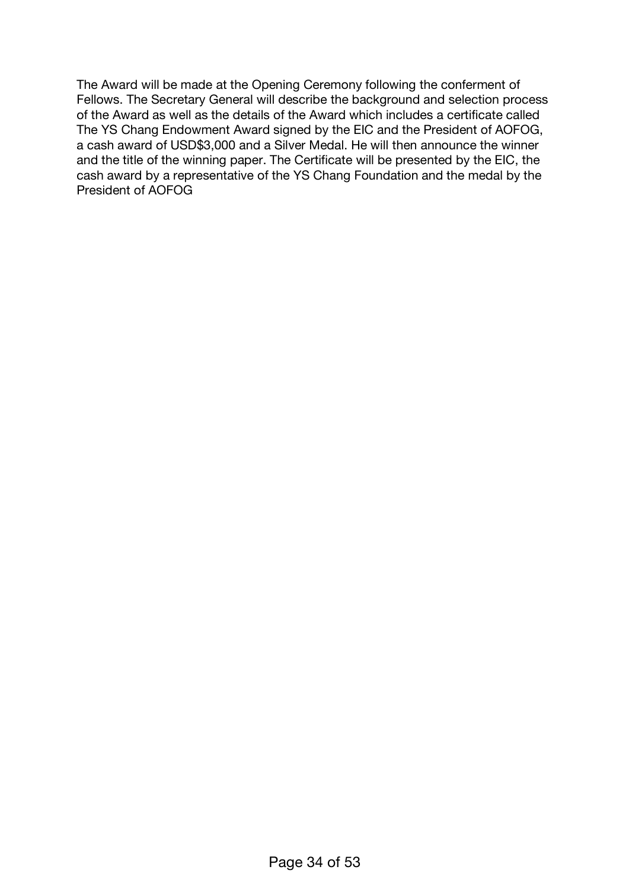The Award will be made at the Opening Ceremony following the conferment of Fellows. The Secretary General will describe the background and selection process of the Award as well as the details of the Award which includes a certificate called The YS Chang Endowment Award signed by the EIC and the President of AOFOG, a cash award of USD\$3,000 and a Silver Medal. He will then announce the winner and the title of the winning paper. The Certificate will be presented by the EIC, the cash award by a representative of the YS Chang Foundation and the medal by the President of AOFOG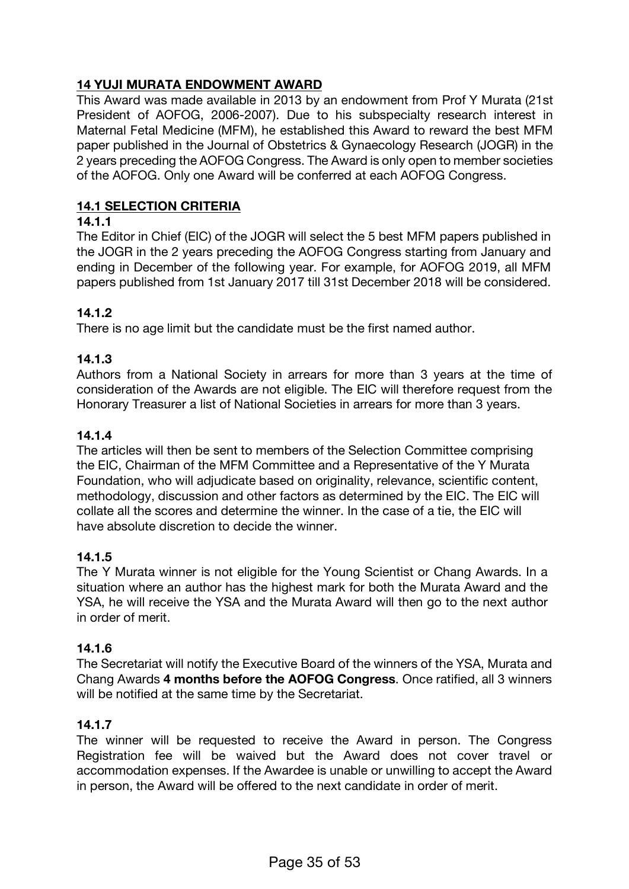# **14 YUJI MURATA ENDOWMENT AWARD**

This Award was made available in 2013 by an endowment from Prof Y Murata (21st President of AOFOG, 2006-2007). Due to his subspecialty research interest in Maternal Fetal Medicine (MFM), he established this Award to reward the best MFM paper published in the Journal of Obstetrics & Gynaecology Research (JOGR) in the 2 years preceding the AOFOG Congress. The Award is only open to member societies of the AOFOG. Only one Award will be conferred at each AOFOG Congress.

# **14.1 SELECTION CRITERIA**

# **14.1.1**

The Editor in Chief (EIC) of the JOGR will select the 5 best MFM papers published in the JOGR in the 2 years preceding the AOFOG Congress starting from January and ending in December of the following year. For example, for AOFOG 2019, all MFM papers published from 1st January 2017 till 31st December 2018 will be considered.

# **14.1.2**

There is no age limit but the candidate must be the first named author.

# **14.1.3**

Authors from a National Society in arrears for more than 3 years at the time of consideration of the Awards are not eligible. The EIC will therefore request from the Honorary Treasurer a list of National Societies in arrears for more than 3 years.

# **14.1.4**

The articles will then be sent to members of the Selection Committee comprising the EIC, Chairman of the MFM Committee and a Representative of the Y Murata Foundation, who will adjudicate based on originality, relevance, scientific content, methodology, discussion and other factors as determined by the EIC. The EIC will collate all the scores and determine the winner. In the case of a tie, the EIC will have absolute discretion to decide the winner.

# **14.1.5**

The Y Murata winner is not eligible for the Young Scientist or Chang Awards. In a situation where an author has the highest mark for both the Murata Award and the YSA, he will receive the YSA and the Murata Award will then go to the next author in order of merit.

# **14.1.6**

The Secretariat will notify the Executive Board of the winners of the YSA, Murata and Chang Awards **4 months before the AOFOG Congress**. Once ratified, all 3 winners will be notified at the same time by the Secretariat.

# **14.1.7**

The winner will be requested to receive the Award in person. The Congress Registration fee will be waived but the Award does not cover travel or accommodation expenses. If the Awardee is unable or unwilling to accept the Award in person, the Award will be offered to the next candidate in order of merit.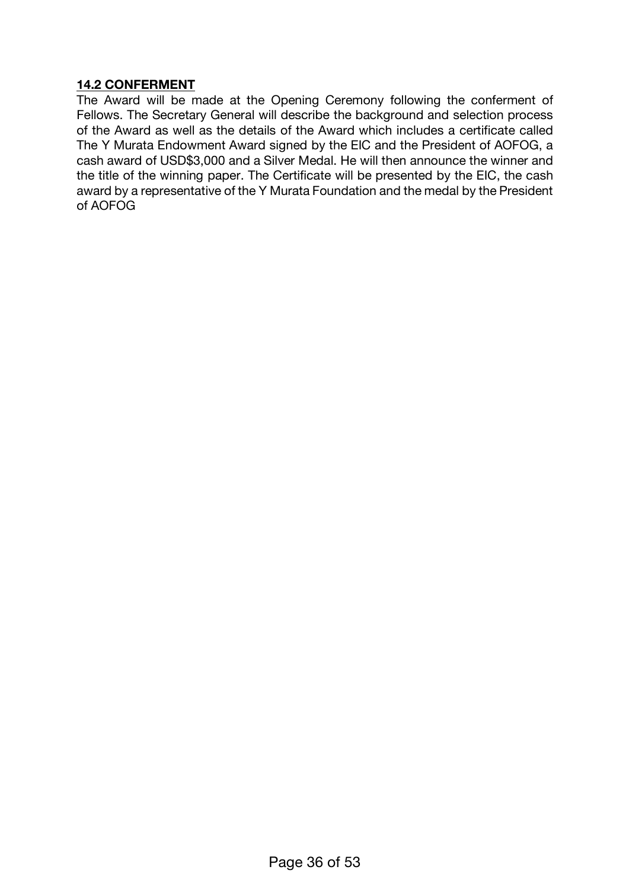#### **14.2 CONFERMENT**

The Award will be made at the Opening Ceremony following the conferment of Fellows. The Secretary General will describe the background and selection process of the Award as well as the details of the Award which includes a certificate called The Y Murata Endowment Award signed by the EIC and the President of AOFOG, a cash award of USD\$3,000 and a Silver Medal. He will then announce the winner and the title of the winning paper. The Certificate will be presented by the EIC, the cash award by a representative of the Y Murata Foundation and the medal by the President of AOFOG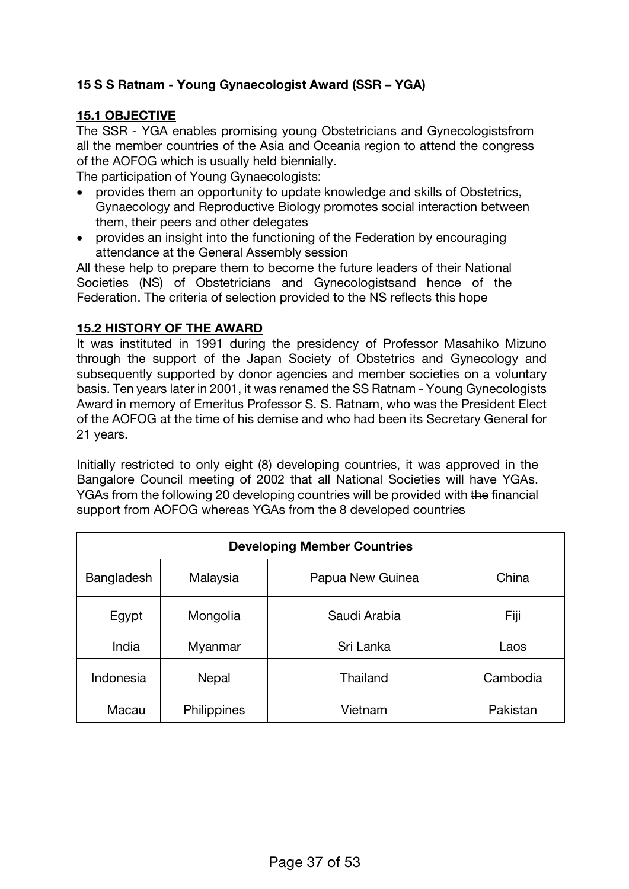# **15 S S Ratnam - Young Gynaecologist Award (SSR – YGA)**

# **15.1 OBJECTIVE**

The SSR - YGA enables promising young Obstetricians and Gynecologistsfrom all the member countries of the Asia and Oceania region to attend the congress of the AOFOG which is usually held biennially.

The participation of Young Gynaecologists:

- provides them an opportunity to update knowledge and skills of Obstetrics, Gynaecology and Reproductive Biology promotes social interaction between them, their peers and other delegates
- provides an insight into the functioning of the Federation by encouraging attendance at the General Assembly session

All these help to prepare them to become the future leaders of their National Societies (NS) of Obstetricians and Gynecologistsand hence of the Federation. The criteria of selection provided to the NS reflects this hope

### **15.2 HISTORY OF THE AWARD**

It was instituted in 1991 during the presidency of Professor Masahiko Mizuno through the support of the Japan Society of Obstetrics and Gynecology and subsequently supported by donor agencies and member societies on a voluntary basis. Ten years later in 2001, it was renamed the SS Ratnam - Young Gynecologists Award in memory of Emeritus Professor S. S. Ratnam, who was the President Elect of the AOFOG at the time of his demise and who had been its Secretary General for 21 years.

Initially restricted to only eight (8) developing countries, it was approved in the Bangalore Council meeting of 2002 that all National Societies will have YGAs. YGAs from the following 20 developing countries will be provided with the financial support from AOFOG whereas YGAs from the 8 developed countries

| <b>Developing Member Countries</b> |                    |                  |          |
|------------------------------------|--------------------|------------------|----------|
| Bangladesh                         | Malaysia           | Papua New Guinea | China    |
| Egypt                              | Mongolia           | Saudi Arabia     | Fiji     |
| India                              | Myanmar            | Sri Lanka        | Laos     |
| Indonesia                          | Nepal              | Thailand         | Cambodia |
| Macau                              | <b>Philippines</b> | Vietnam          | Pakistan |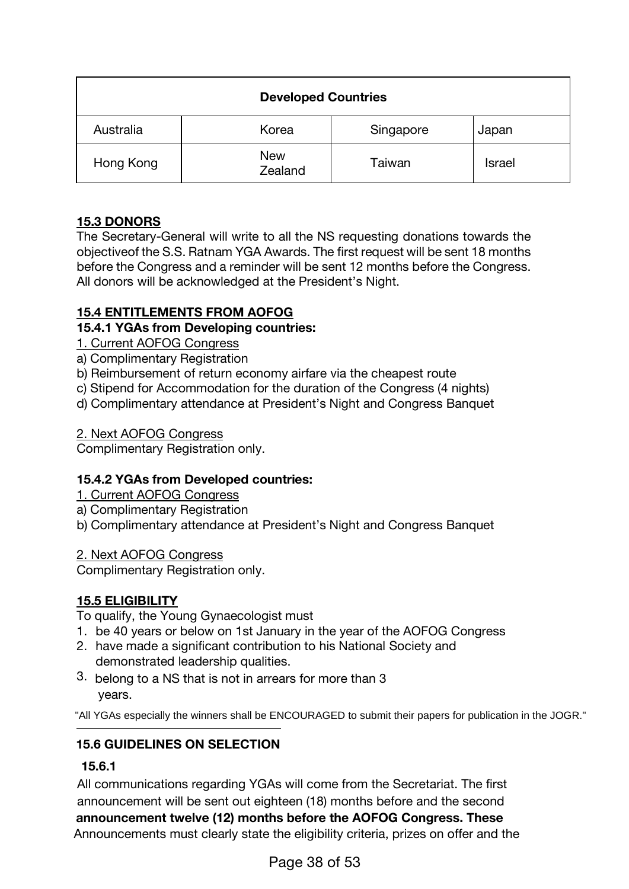|           | <b>Developed Countries</b> |           |               |
|-----------|----------------------------|-----------|---------------|
| Australia | Korea                      | Singapore | Japan         |
| Hong Kong | <b>New</b><br>Zealand      | Taiwan    | <b>Israel</b> |

# **15.3 DONORS**

The Secretary-General will write to all the NS requesting donations towards the objectiveof the S.S. Ratnam YGA Awards. The first request will be sent 18 months before the Congress and a reminder will be sent 12 months before the Congress. All donors will be acknowledged at the President's Night.

# **15.4 ENTITLEMENTS FROM AOFOG**

# **15.4.1 YGAs from Developing countries:**

- 1. Current AOFOG Congress
- a) Complimentary Registration
- b) Reimbursement of return economy airfare via the cheapest route
- c) Stipend for Accommodation for the duration of the Congress (4 nights)
- d) Complimentary attendance at President's Night and Congress Banquet

# 2. Next AOFOG Congress

Complimentary Registration only.

# **15.4.2 YGAs from Developed countries:**

- 1. Current AOFOG Congress
- a) Complimentary Registration
- b) Complimentary attendance at President's Night and Congress Banquet

2. Next AOFOG Congress

Complimentary Registration only.

# **15.5 ELIGIBILITY**

To qualify, the Young Gynaecologist must

- 1. be 40 years or below on 1st January in the year of the AOFOG Congress
- 2. have made a significant contribution to his National Society and demonstrated leadership qualities.
- 3. belong to a NS that is not in arrears for more than 3 years.

"All YGAs especially the winners shall be ENCOURAGED to submit their papers for publication in the JOGR."

# **15.6 GUIDELINES ON SELECTION**

# **15.6.1**

All communications regarding YGAs will come from the Secretariat. The first announcement will be sent out eighteen (18) months before and the second **announcement twelve (12) months before the AOFOG Congress. These** Announcements must clearly state the eligibility criteria, prizes on offer and the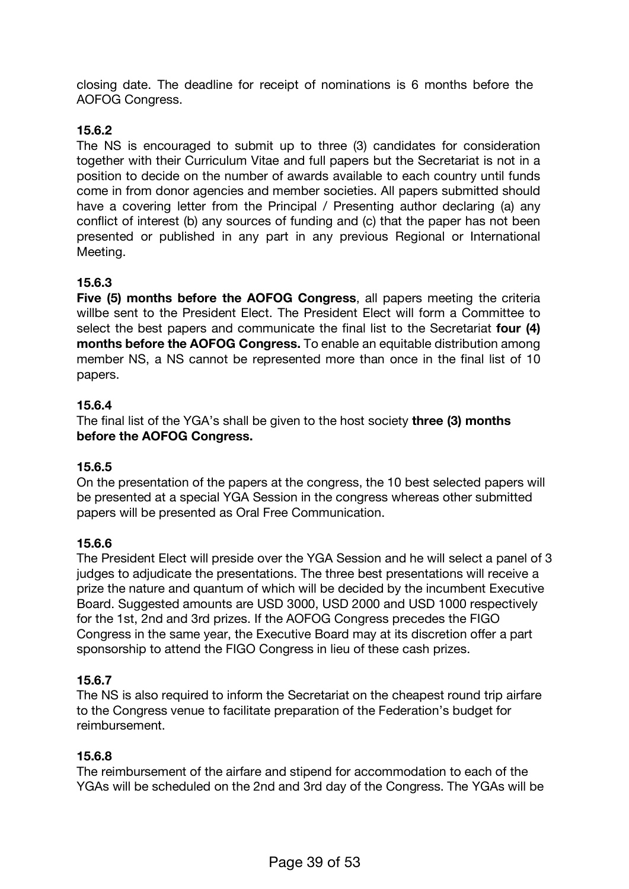closing date. The deadline for receipt of nominations is 6 months before the AOFOG Congress.

# **15.6.2**

The NS is encouraged to submit up to three (3) candidates for consideration together with their Curriculum Vitae and full papers but the Secretariat is not in a position to decide on the number of awards available to each country until funds come in from donor agencies and member societies. All papers submitted should have a covering letter from the Principal / Presenting author declaring (a) any conflict of interest (b) any sources of funding and (c) that the paper has not been presented or published in any part in any previous Regional or International Meeting.

# **15.6.3**

**Five (5) months before the AOFOG Congress**, all papers meeting the criteria willbe sent to the President Elect. The President Elect will form a Committee to select the best papers and communicate the final list to the Secretariat **four (4) months before the AOFOG Congress.** To enable an equitable distribution among member NS, a NS cannot be represented more than once in the final list of 10 papers.

# **15.6.4**

The final list of the YGA's shall be given to the host society **three (3) months before the AOFOG Congress.**

# **15.6.5**

On the presentation of the papers at the congress, the 10 best selected papers will be presented at a special YGA Session in the congress whereas other submitted papers will be presented as Oral Free Communication.

# **15.6.6**

The President Elect will preside over the YGA Session and he will select a panel of 3 judges to adjudicate the presentations. The three best presentations will receive a prize the nature and quantum of which will be decided by the incumbent Executive Board. Suggested amounts are USD 3000, USD 2000 and USD 1000 respectively for the 1st, 2nd and 3rd prizes. If the AOFOG Congress precedes the FIGO Congress in the same year, the Executive Board may at its discretion offer a part sponsorship to attend the FIGO Congress in lieu of these cash prizes.

# **15.6.7**

The NS is also required to inform the Secretariat on the cheapest round trip airfare to the Congress venue to facilitate preparation of the Federation's budget for reimbursement.

#### **15.6.8**

The reimbursement of the airfare and stipend for accommodation to each of the YGAs will be scheduled on the 2nd and 3rd day of the Congress. The YGAs will be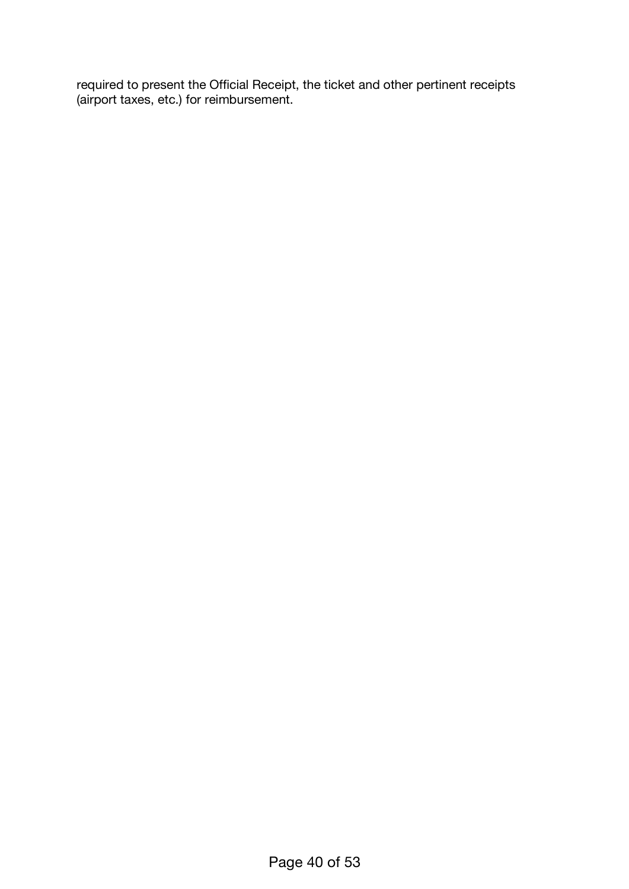required to present the Official Receipt, the ticket and other pertinent receipts (airport taxes, etc.) for reimbursement.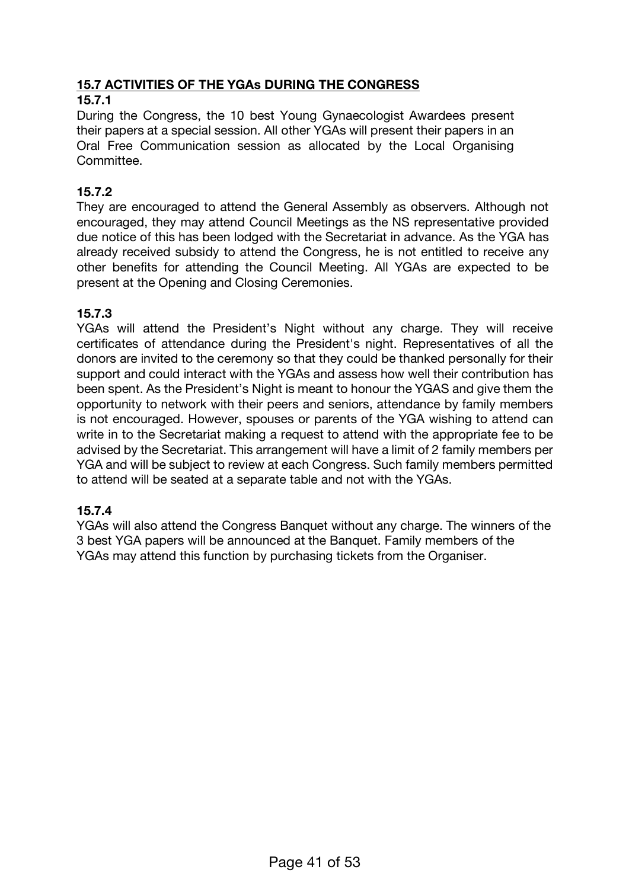# **15.7 ACTIVITIES OF THE YGAs DURING THE CONGRESS**

### **15.7.1**

During the Congress, the 10 best Young Gynaecologist Awardees present their papers at a special session. All other YGAs will present their papers in an Oral Free Communication session as allocated by the Local Organising Committee.

# **15.7.2**

They are encouraged to attend the General Assembly as observers. Although not encouraged, they may attend Council Meetings as the NS representative provided due notice of this has been lodged with the Secretariat in advance. As the YGA has already received subsidy to attend the Congress, he is not entitled to receive any other benefits for attending the Council Meeting. All YGAs are expected to be present at the Opening and Closing Ceremonies.

# **15.7.3**

YGAs will attend the President's Night without any charge. They will receive certificates of attendance during the President's night. Representatives of all the donors are invited to the ceremony so that they could be thanked personally for their support and could interact with the YGAs and assess how well their contribution has been spent. As the President's Night is meant to honour the YGAS and give them the opportunity to network with their peers and seniors, attendance by family members is not encouraged. However, spouses or parents of the YGA wishing to attend can write in to the Secretariat making a request to attend with the appropriate fee to be advised by the Secretariat. This arrangement will have a limit of 2 family members per YGA and will be subject to review at each Congress. Such family members permitted to attend will be seated at a separate table and not with the YGAs.

# **15.7.4**

YGAs will also attend the Congress Banquet without any charge. The winners of the 3 best YGA papers will be announced at the Banquet. Family members of the YGAs may attend this function by purchasing tickets from the Organiser.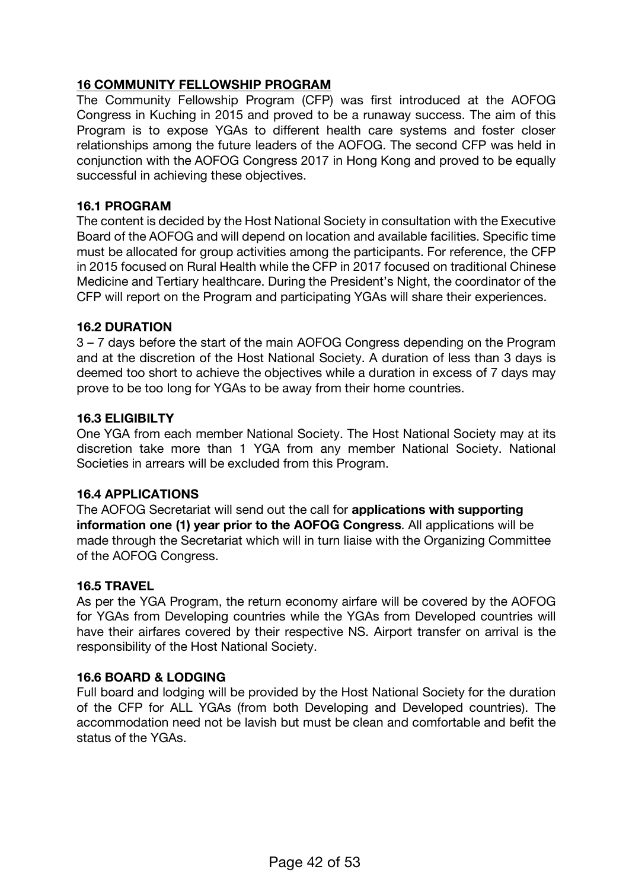# **16 COMMUNITY FELLOWSHIP PROGRAM**

The Community Fellowship Program (CFP) was first introduced at the AOFOG Congress in Kuching in 2015 and proved to be a runaway success. The aim of this Program is to expose YGAs to different health care systems and foster closer relationships among the future leaders of the AOFOG. The second CFP was held in conjunction with the AOFOG Congress 2017 in Hong Kong and proved to be equally successful in achieving these objectives.

#### **16.1 PROGRAM**

The content is decided by the Host National Society in consultation with the Executive Board of the AOFOG and will depend on location and available facilities. Specific time must be allocated for group activities among the participants. For reference, the CFP in 2015 focused on Rural Health while the CFP in 2017 focused on traditional Chinese Medicine and Tertiary healthcare. During the President's Night, the coordinator of the CFP will report on the Program and participating YGAs will share their experiences.

#### **16.2 DURATION**

3 – 7 days before the start of the main AOFOG Congress depending on the Program and at the discretion of the Host National Society. A duration of less than 3 days is deemed too short to achieve the objectives while a duration in excess of 7 days may prove to be too long for YGAs to be away from their home countries.

### **16.3 ELIGIBILTY**

One YGA from each member National Society. The Host National Society may at its discretion take more than 1 YGA from any member National Society. National Societies in arrears will be excluded from this Program.

#### **16.4 APPLICATIONS**

The AOFOG Secretariat will send out the call for **applications with supporting information one (1) year prior to the AOFOG Congress**. All applications will be made through the Secretariat which will in turn liaise with the Organizing Committee of the AOFOG Congress.

#### **16.5 TRAVEL**

As per the YGA Program, the return economy airfare will be covered by the AOFOG for YGAs from Developing countries while the YGAs from Developed countries will have their airfares covered by their respective NS. Airport transfer on arrival is the responsibility of the Host National Society.

#### **16.6 BOARD & LODGING**

Full board and lodging will be provided by the Host National Society for the duration of the CFP for ALL YGAs (from both Developing and Developed countries). The accommodation need not be lavish but must be clean and comfortable and befit the status of the YGAs.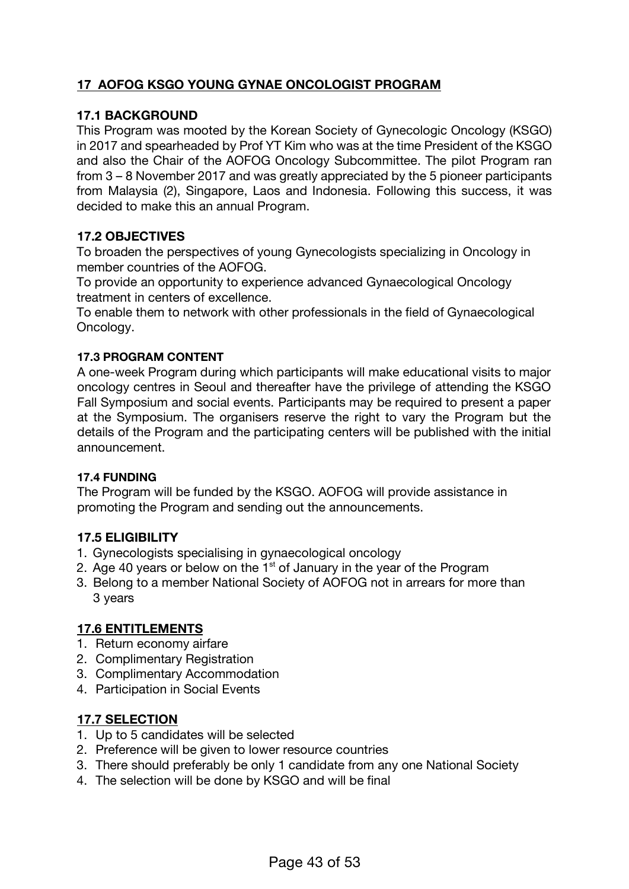# **17 AOFOG KSGO YOUNG GYNAE ONCOLOGIST PROGRAM**

### **17.1 BACKGROUND**

This Program was mooted by the Korean Society of Gynecologic Oncology (KSGO) in 2017 and spearheaded by Prof YT Kim who was at the time President of the KSGO and also the Chair of the AOFOG Oncology Subcommittee. The pilot Program ran from 3 – 8 November 2017 and was greatly appreciated by the 5 pioneer participants from Malaysia (2), Singapore, Laos and Indonesia. Following this success, it was decided to make this an annual Program.

### **17.2 OBJECTIVES**

To broaden the perspectives of young Gynecologists specializing in Oncology in member countries of the AOFOG.

To provide an opportunity to experience advanced Gynaecological Oncology treatment in centers of excellence.

To enable them to network with other professionals in the field of Gynaecological Oncology.

#### **17.3 PROGRAM CONTENT**

A one-week Program during which participants will make educational visits to major oncology centres in Seoul and thereafter have the privilege of attending the KSGO Fall Symposium and social events. Participants may be required to present a paper at the Symposium. The organisers reserve the right to vary the Program but the details of the Program and the participating centers will be published with the initial announcement.

#### **17.4 FUNDING**

The Program will be funded by the KSGO. AOFOG will provide assistance in promoting the Program and sending out the announcements.

### **17.5 ELIGIBILITY**

- 1. Gynecologists specialising in gynaecological oncology
- 2. Age 40 years or below on the  $1<sup>st</sup>$  of January in the year of the Program
- 3. Belong to a member National Society of AOFOG not in arrears for more than 3 years

#### **17.6 ENTITLEMENTS**

- 1. Return economy airfare
- 2. Complimentary Registration
- 3. Complimentary Accommodation
- 4. Participation in Social Events

# **17.7 SELECTION**

- 1. Up to 5 candidates will be selected
- 2. Preference will be given to lower resource countries
- 3. There should preferably be only 1 candidate from any one National Society
- 4. The selection will be done by KSGO and will be final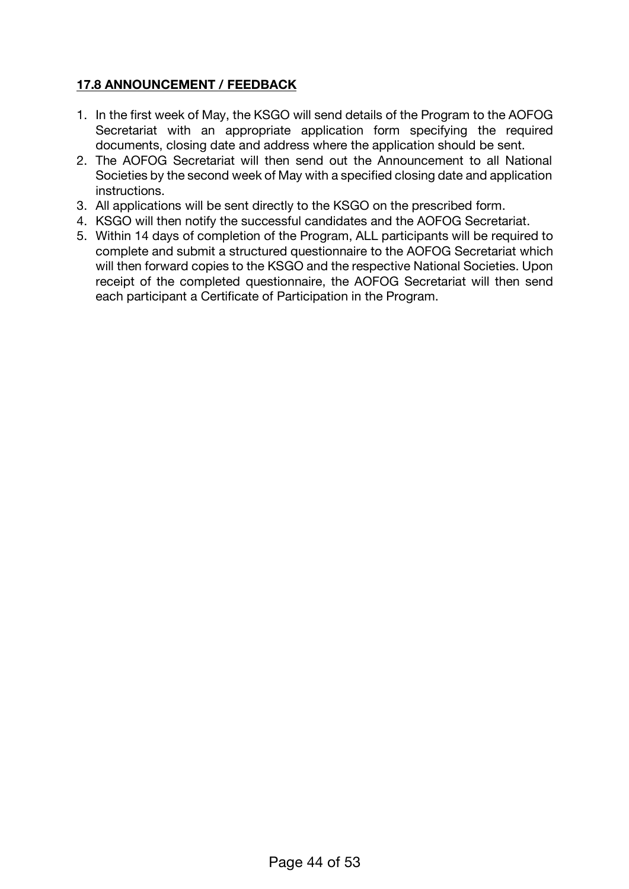# **17.8 ANNOUNCEMENT / FEEDBACK**

- 1. In the first week of May, the KSGO will send details of the Program to the AOFOG Secretariat with an appropriate application form specifying the required documents, closing date and address where the application should be sent.
- 2. The AOFOG Secretariat will then send out the Announcement to all National Societies by the second week of May with a specified closing date and application instructions.
- 3. All applications will be sent directly to the KSGO on the prescribed form.
- 4. KSGO will then notify the successful candidates and the AOFOG Secretariat.
- 5. Within 14 days of completion of the Program, ALL participants will be required to complete and submit a structured questionnaire to the AOFOG Secretariat which will then forward copies to the KSGO and the respective National Societies. Upon receipt of the completed questionnaire, the AOFOG Secretariat will then send each participant a Certificate of Participation in the Program.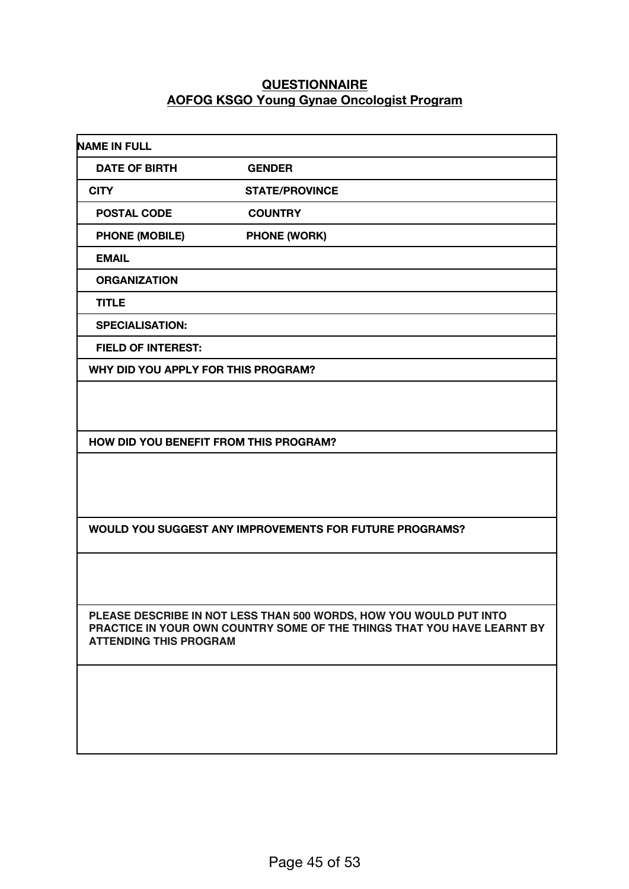#### **QUESTIONNAIRE AOFOG KSGO Young Gynae Oncologist Program**

| <b>NAME IN FULL</b>                    |                                                                                                                                               |
|----------------------------------------|-----------------------------------------------------------------------------------------------------------------------------------------------|
| <b>DATE OF BIRTH</b>                   | <b>GENDER</b>                                                                                                                                 |
| <b>CITY</b>                            | <b>STATE/PROVINCE</b>                                                                                                                         |
| <b>POSTAL CODE</b>                     | <b>COUNTRY</b>                                                                                                                                |
| <b>PHONE (MOBILE)</b>                  | <b>PHONE (WORK)</b>                                                                                                                           |
| <b>EMAIL</b>                           |                                                                                                                                               |
| <b>ORGANIZATION</b>                    |                                                                                                                                               |
| <b>TITLE</b>                           |                                                                                                                                               |
| <b>SPECIALISATION:</b>                 |                                                                                                                                               |
| <b>FIELD OF INTEREST:</b>              |                                                                                                                                               |
| WHY DID YOU APPLY FOR THIS PROGRAM?    |                                                                                                                                               |
|                                        |                                                                                                                                               |
|                                        |                                                                                                                                               |
| HOW DID YOU BENEFIT FROM THIS PROGRAM? |                                                                                                                                               |
|                                        |                                                                                                                                               |
|                                        |                                                                                                                                               |
|                                        |                                                                                                                                               |
|                                        | <b>WOULD YOU SUGGEST ANY IMPROVEMENTS FOR FUTURE PROGRAMS?</b>                                                                                |
|                                        |                                                                                                                                               |
|                                        |                                                                                                                                               |
|                                        |                                                                                                                                               |
|                                        | PLEASE DESCRIBE IN NOT LESS THAN 500 WORDS, HOW YOU WOULD PUT INTO<br>PRACTICE IN YOUR OWN COUNTRY SOME OF THE THINGS THAT YOU HAVE LEARNT BY |
| <b>ATTENDING THIS PROGRAM</b>          |                                                                                                                                               |
|                                        |                                                                                                                                               |
|                                        |                                                                                                                                               |
|                                        |                                                                                                                                               |
|                                        |                                                                                                                                               |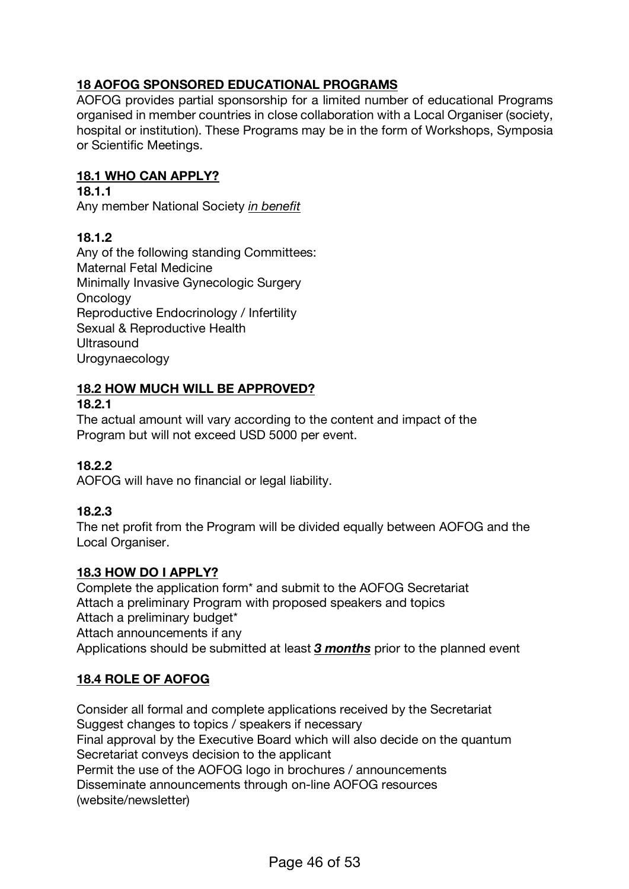# **18 AOFOG SPONSORED EDUCATIONAL PROGRAMS**

AOFOG provides partial sponsorship for a limited number of educational Programs organised in member countries in close collaboration with a Local Organiser (society, hospital or institution). These Programs may be in the form of Workshops, Symposia or Scientific Meetings.

### **18.1 WHO CAN APPLY?**

#### **18.1.1**

Any member National Society *in benefit*

### **18.1.2**

Any of the following standing Committees: Maternal Fetal Medicine Minimally Invasive Gynecologic Surgery **Oncology** Reproductive Endocrinology / Infertility Sexual & Reproductive Health **Ultrasound** Urogynaecology

# **18.2 HOW MUCH WILL BE APPROVED?**

#### **18.2.1**

The actual amount will vary according to the content and impact of the Program but will not exceed USD 5000 per event.

# **18.2.2**

AOFOG will have no financial or legal liability.

# **18.2.3**

The net profit from the Program will be divided equally between AOFOG and the Local Organiser.

#### **18.3 HOW DO I APPLY?**

Complete the application form\* and submit to the AOFOG Secretariat Attach a preliminary Program with proposed speakers and topics Attach a preliminary budget\* Attach announcements if any Applications should be submitted at least *3 months* prior to the planned event

# **18.4 ROLE OF AOFOG**

Consider all formal and complete applications received by the Secretariat Suggest changes to topics / speakers if necessary Final approval by the Executive Board which will also decide on the quantum Secretariat conveys decision to the applicant Permit the use of the AOFOG logo in brochures / announcements Disseminate announcements through on-line AOFOG resources (website/newsletter)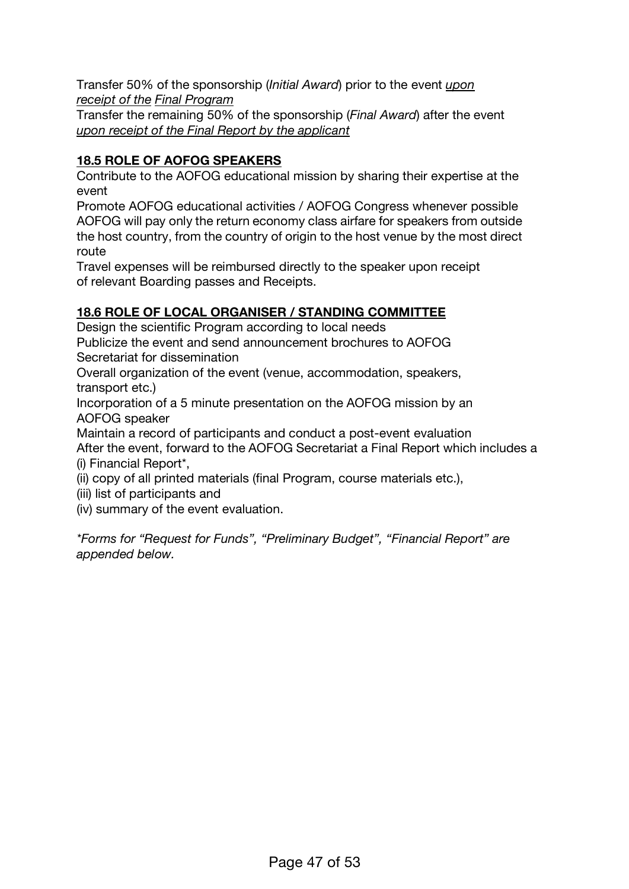Transfer 50% of the sponsorship (*Initial Award*) prior to the event *upon receipt of the Final Program*

Transfer the remaining 50% of the sponsorship (*Final Award*) after the event *upon receipt of the Final Report by the applicant*

# **18.5 ROLE OF AOFOG SPEAKERS**

Contribute to the AOFOG educational mission by sharing their expertise at the event

Promote AOFOG educational activities / AOFOG Congress whenever possible AOFOG will pay only the return economy class airfare for speakers from outside the host country, from the country of origin to the host venue by the most direct route

Travel expenses will be reimbursed directly to the speaker upon receipt of relevant Boarding passes and Receipts.

# **18.6 ROLE OF LOCAL ORGANISER / STANDING COMMITTEE**

Design the scientific Program according to local needs

Publicize the event and send announcement brochures to AOFOG Secretariat for dissemination

Overall organization of the event (venue, accommodation, speakers, transport etc.)

Incorporation of a 5 minute presentation on the AOFOG mission by an AOFOG speaker

Maintain a record of participants and conduct a post-event evaluation After the event, forward to the AOFOG Secretariat a Final Report which includes a (i) Financial Report\*,

(ii) copy of all printed materials (final Program, course materials etc.),

(iii) list of participants and

(iv) summary of the event evaluation.

*\*Forms for "Request for Funds", "Preliminary Budget", "Financial Report" are appended below.*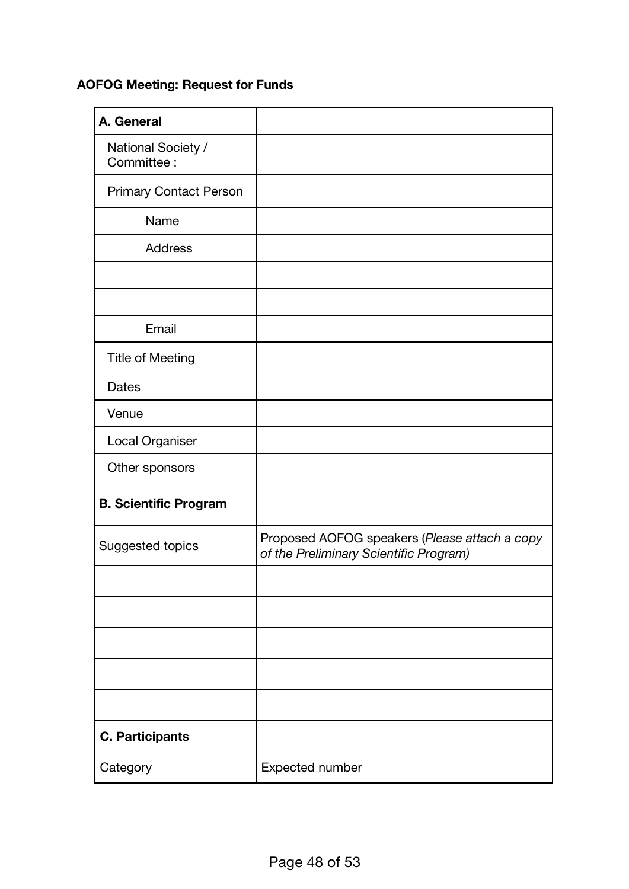# **AOFOG Meeting: Request for Funds**

| A. General                       |                                                                                         |
|----------------------------------|-----------------------------------------------------------------------------------------|
| National Society /<br>Committee: |                                                                                         |
| <b>Primary Contact Person</b>    |                                                                                         |
| Name                             |                                                                                         |
| <b>Address</b>                   |                                                                                         |
|                                  |                                                                                         |
|                                  |                                                                                         |
| Email                            |                                                                                         |
| <b>Title of Meeting</b>          |                                                                                         |
| <b>Dates</b>                     |                                                                                         |
| Venue                            |                                                                                         |
| Local Organiser                  |                                                                                         |
| Other sponsors                   |                                                                                         |
| <b>B. Scientific Program</b>     |                                                                                         |
| Suggested topics                 | Proposed AOFOG speakers (Please attach a copy<br>of the Preliminary Scientific Program) |
|                                  |                                                                                         |
|                                  |                                                                                         |
|                                  |                                                                                         |
|                                  |                                                                                         |
|                                  |                                                                                         |
| <b>C. Participants</b>           |                                                                                         |
| Category                         | Expected number                                                                         |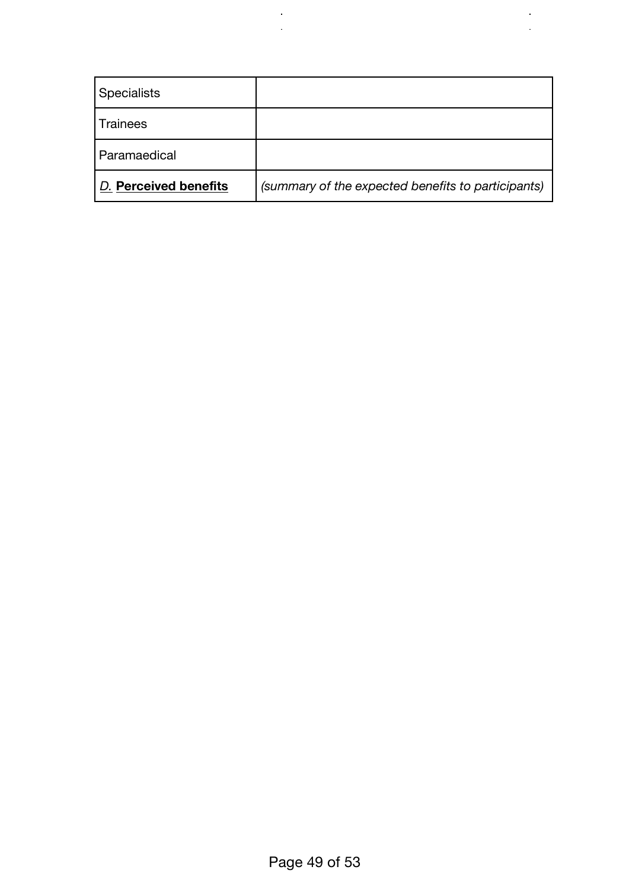| <b>Specialists</b>    |                                                    |
|-----------------------|----------------------------------------------------|
| <b>Trainees</b>       |                                                    |
| Paramaedical          |                                                    |
| D. Perceived benefits | (summary of the expected benefits to participants) |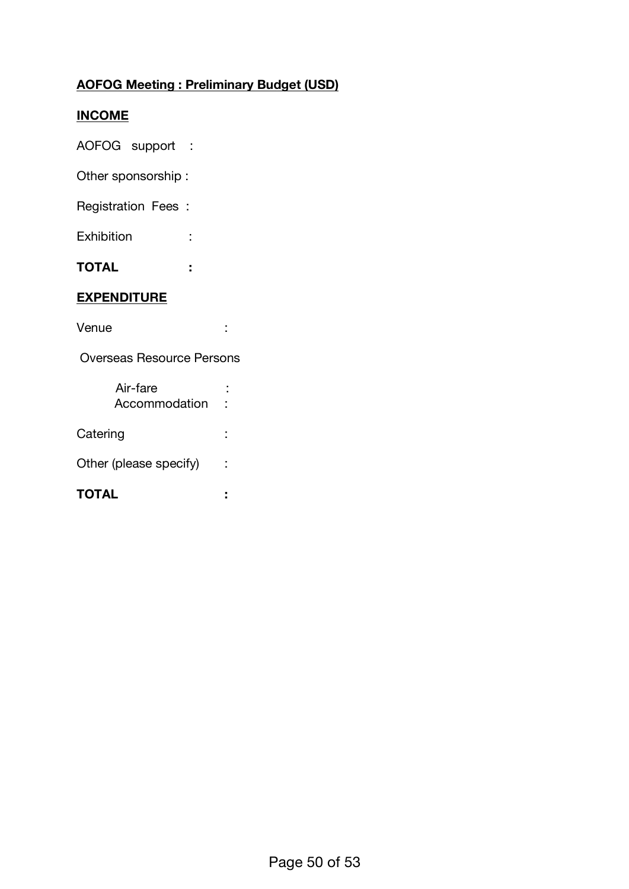# **AOFOG Meeting : Preliminary Budget (USD)**

### **INCOME**

AOFOG support :

Other sponsorship :

Registration Fees :

Exhibition :

**TOTAL :**

# **EXPENDITURE**

Venue :

Overseas Resource Persons

| Air-fare<br>Accommodation |  |  |
|---------------------------|--|--|
| Catering                  |  |  |
| Other (please specify)    |  |  |
| TOTAL                     |  |  |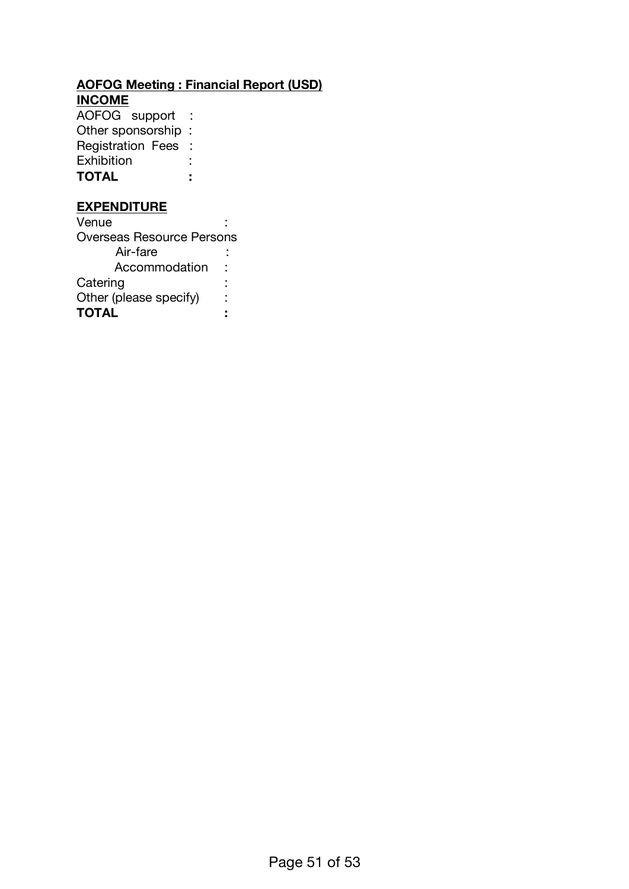# **AOFOG Meeting : Financial Report (USD)**

**INCOME**

AOFOG support : Other sponsorship : Registration Fees : Exhibition : **TOTAL :**

# **EXPENDITURE**

Venue : Overseas Resource Persons Air-fare : Accommodation : Catering the contract of the contract of the contract of the contract of the contract of the contract of the contract of the contract of the contract of the contract of the contract of the contract of the contract of the c Other (please specify) : **TOTAL :**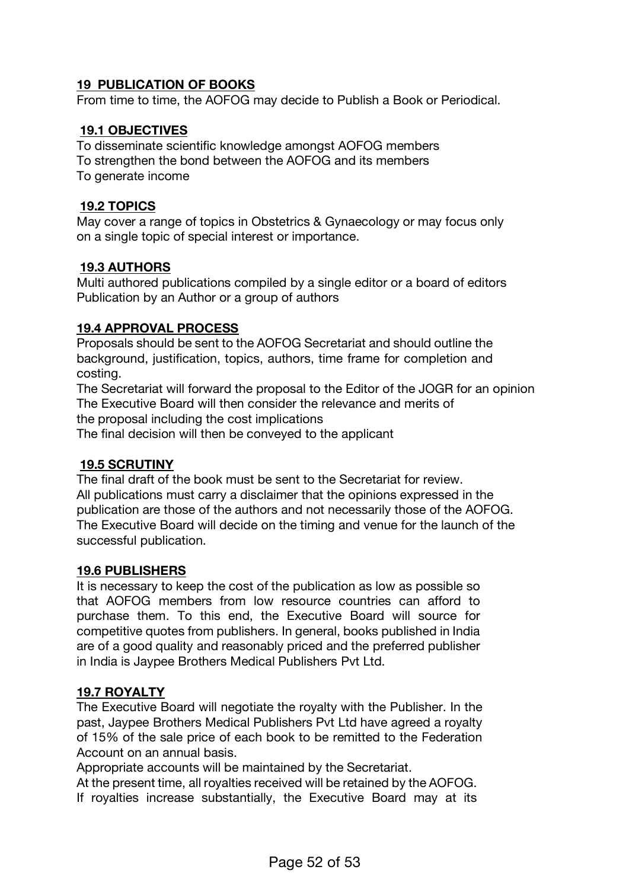### **19 PUBLICATION OF BOOKS**

From time to time, the AOFOG may decide to Publish a Book or Periodical.

#### **19.1 OBJECTIVES**

To disseminate scientific knowledge amongst AOFOG members To strengthen the bond between the AOFOG and its members To generate income

#### **19.2 TOPICS**

May cover a range of topics in Obstetrics & Gynaecology or may focus only on a single topic of special interest or importance.

#### **19.3 AUTHORS**

Multi authored publications compiled by a single editor or a board of editors Publication by an Author or a group of authors

#### **19.4 APPROVAL PROCESS**

Proposals should be sent to the AOFOG Secretariat and should outline the background, justification, topics, authors, time frame for completion and costing.

The Secretariat will forward the proposal to the Editor of the JOGR for an opinion The Executive Board will then consider the relevance and merits of the proposal including the cost implications

The final decision will then be conveyed to the applicant

#### **19.5 SCRUTINY**

The final draft of the book must be sent to the Secretariat for review. All publications must carry a disclaimer that the opinions expressed in the publication are those of the authors and not necessarily those of the AOFOG. The Executive Board will decide on the timing and venue for the launch of the successful publication.

#### **19.6 PUBLISHERS**

It is necessary to keep the cost of the publication as low as possible so that AOFOG members from low resource countries can afford to purchase them. To this end, the Executive Board will source for competitive quotes from publishers. In general, books published in India are of a good quality and reasonably priced and the preferred publisher in India is Jaypee Brothers Medical Publishers Pvt Ltd.

#### **19.7 ROYALTY**

The Executive Board will negotiate the royalty with the Publisher. In the past, Jaypee Brothers Medical Publishers Pvt Ltd have agreed a royalty of 15% of the sale price of each book to be remitted to the Federation Account on an annual basis.

Appropriate accounts will be maintained by the Secretariat.

At the present time, all royalties received will be retained by the AOFOG.

If royalties increase substantially, the Executive Board may at its